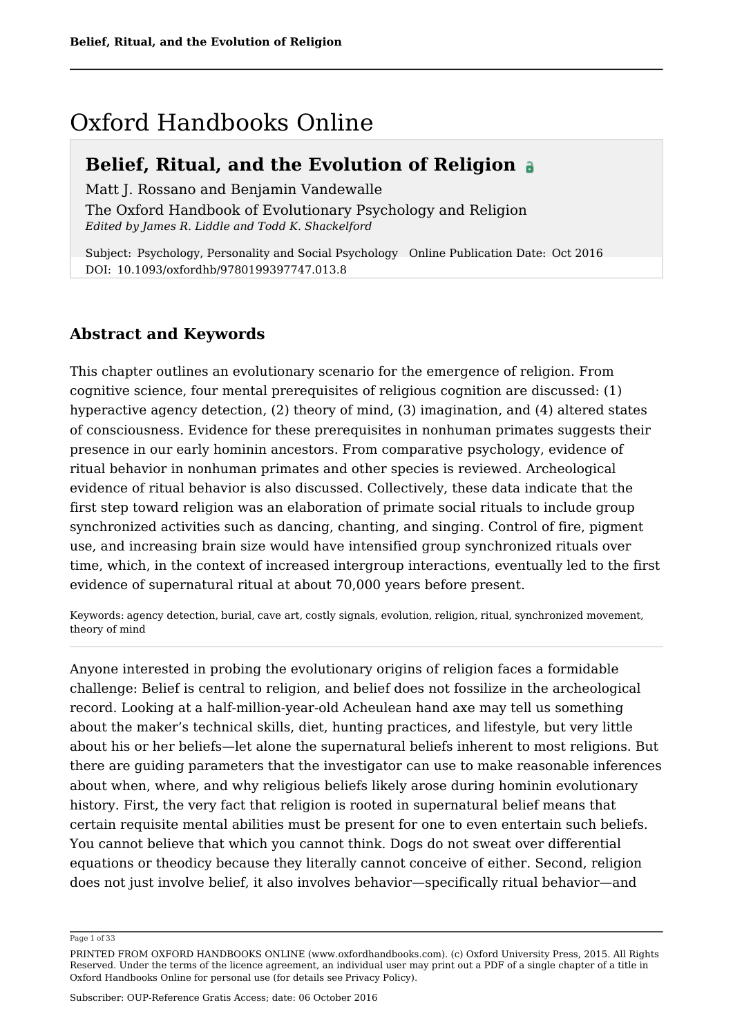# Oxford Handbooks Online

# **Belief, Ritual, and the Evolution of Religion**

Matt J. Rossano and Benjamin Vandewalle The Oxford Handbook of Evolutionary Psychology and Religion

*Edited by James R. Liddle and Todd K. Shackelford* Subject: Psychology, Personality and Social Psychology Online Publication Date: Oct 2016

DOI: 10.1093/oxfordhb/9780199397747.013.8

### **Abstract and Keywords**

This chapter outlines an evolutionary scenario for the emergence of religion. From cognitive science, four mental prerequisites of religious cognition are discussed: (1) hyperactive agency detection, (2) theory of mind, (3) imagination, and (4) altered states of consciousness. Evidence for these prerequisites in nonhuman primates suggests their presence in our early hominin ancestors. From comparative psychology, evidence of ritual behavior in nonhuman primates and other species is reviewed. Archeological evidence of ritual behavior is also discussed. Collectively, these data indicate that the first step toward religion was an elaboration of primate social rituals to include group synchronized activities such as dancing, chanting, and singing. Control of fire, pigment use, and increasing brain size would have intensified group synchronized rituals over time, which, in the context of increased intergroup interactions, eventually led to the first evidence of supernatural ritual at about 70,000 years before present.

Keywords: agency detection, burial, cave art, costly signals, evolution, religion, ritual, synchronized movement, theory of mind

Anyone interested in probing the evolutionary origins of religion faces a formidable challenge: Belief is central to religion, and belief does not fossilize in the archeological record. Looking at a half-million-year-old Acheulean hand axe may tell us something about the maker's technical skills, diet, hunting practices, and lifestyle, but very little about his or her beliefs—let alone the supernatural beliefs inherent to most religions. But there are guiding parameters that the investigator can use to make reasonable inferences about when, where, and why religious beliefs likely arose during hominin evolutionary history. First, the very fact that religion is rooted in supernatural belief means that certain requisite mental abilities must be present for one to even entertain such beliefs. You cannot believe that which you cannot think. Dogs do not sweat over differential equations or theodicy because they literally cannot conceive of either. Second, religion does not just involve belief, it also involves behavior—specifically ritual behavior—and

Page 1 of 33

PRINTED FROM OXFORD HANDBOOKS ONLINE (www.oxfordhandbooks.com). (c) Oxford University Press, 2015. All Rights Reserved. Under the terms of the licence agreement, an individual user may print out a PDF of a single chapter of a title in Oxford Handbooks Online for personal use (for details see Privacy Policy).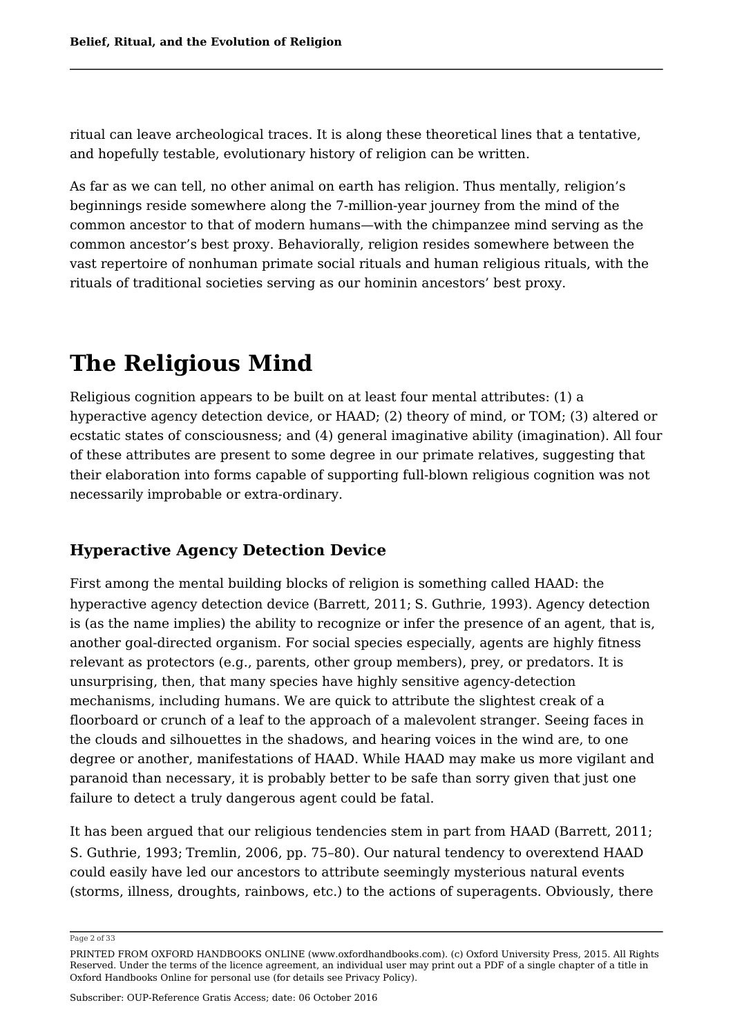ritual can leave archeological traces. It is along these theoretical lines that a tentative, and hopefully testable, evolutionary history of religion can be written.

As far as we can tell, no other animal on earth has religion. Thus mentally, religion's beginnings reside somewhere along the 7-million-year journey from the mind of the common ancestor to that of modern humans—with the chimpanzee mind serving as the common ancestor's best proxy. Behaviorally, religion resides somewhere between the vast repertoire of nonhuman primate social rituals and human religious rituals, with the rituals of traditional societies serving as our hominin ancestors' best proxy.

# **The Religious Mind**

Religious cognition appears to be built on at least four mental attributes: (1) a hyperactive agency detection device, or HAAD; (2) theory of mind, or TOM; (3) altered or ecstatic states of consciousness; and (4) general imaginative ability (imagination). All four of these attributes are present to some degree in our primate relatives, suggesting that their elaboration into forms capable of supporting full-blown religious cognition was not necessarily improbable or extra-ordinary.

# **Hyperactive Agency Detection Device**

First among the mental building blocks of religion is something called HAAD: the hyperactive agency detection device (Barrett, 2011; S. Guthrie, 1993). Agency detection is (as the name implies) the ability to recognize or infer the presence of an agent, that is, another goal-directed organism. For social species especially, agents are highly fitness relevant as protectors (e.g., parents, other group members), prey, or predators. It is unsurprising, then, that many species have highly sensitive agency-detection mechanisms, including humans. We are quick to attribute the slightest creak of a floorboard or crunch of a leaf to the approach of a malevolent stranger. Seeing faces in the clouds and silhouettes in the shadows, and hearing voices in the wind are, to one degree or another, manifestations of HAAD. While HAAD may make us more vigilant and paranoid than necessary, it is probably better to be safe than sorry given that just one failure to detect a truly dangerous agent could be fatal.

It has been argued that our religious tendencies stem in part from HAAD (Barrett, 2011; S. Guthrie, 1993; Tremlin, 2006, pp. 75–80). Our natural tendency to overextend HAAD could easily have led our ancestors to attribute seemingly mysterious natural events (storms, illness, droughts, rainbows, etc.) to the actions of superagents. Obviously, there

Page 2 of 33

PRINTED FROM OXFORD HANDBOOKS ONLINE (www.oxfordhandbooks.com). (c) Oxford University Press, 2015. All Rights Reserved. Under the terms of the licence agreement, an individual user may print out a PDF of a single chapter of a title in Oxford Handbooks Online for personal use (for details see Privacy Policy).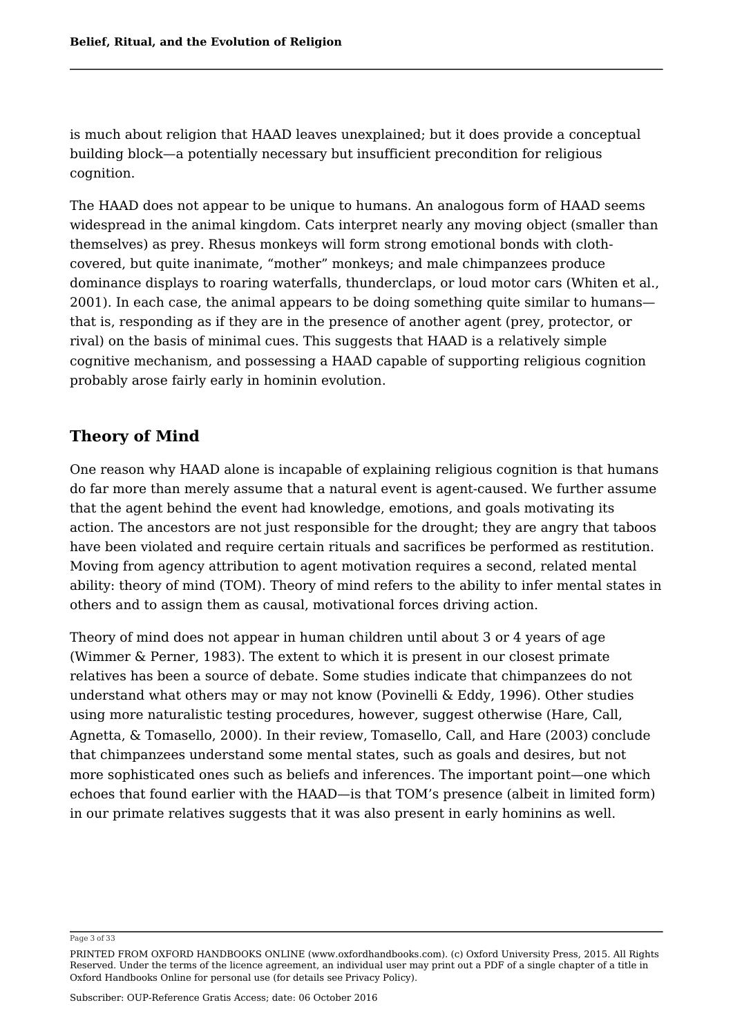is much about religion that HAAD leaves unexplained; but it does provide a conceptual building block—a potentially necessary but insufficient precondition for religious cognition.

The HAAD does not appear to be unique to humans. An analogous form of HAAD seems widespread in the animal kingdom. Cats interpret nearly any moving object (smaller than themselves) as prey. Rhesus monkeys will form strong emotional bonds with clothcovered, but quite inanimate, "mother" monkeys; and male chimpanzees produce dominance displays to roaring waterfalls, thunderclaps, or loud motor cars (Whiten et al., 2001). In each case, the animal appears to be doing something quite similar to humans that is, responding as if they are in the presence of another agent (prey, protector, or rival) on the basis of minimal cues. This suggests that HAAD is a relatively simple cognitive mechanism, and possessing a HAAD capable of supporting religious cognition probably arose fairly early in hominin evolution.

### **Theory of Mind**

One reason why HAAD alone is incapable of explaining religious cognition is that humans do far more than merely assume that a natural event is agent-caused. We further assume that the agent behind the event had knowledge, emotions, and goals motivating its action. The ancestors are not just responsible for the drought; they are angry that taboos have been violated and require certain rituals and sacrifices be performed as restitution. Moving from agency attribution to agent motivation requires a second, related mental ability: theory of mind (TOM). Theory of mind refers to the ability to infer mental states in others and to assign them as causal, motivational forces driving action.

Theory of mind does not appear in human children until about 3 or 4 years of age (Wimmer & Perner, 1983). The extent to which it is present in our closest primate relatives has been a source of debate. Some studies indicate that chimpanzees do not understand what others may or may not know (Povinelli & Eddy, 1996). Other studies using more naturalistic testing procedures, however, suggest otherwise (Hare, Call, Agnetta, & Tomasello, 2000). In their review, Tomasello, Call, and Hare (2003) conclude that chimpanzees understand some mental states, such as goals and desires, but not more sophisticated ones such as beliefs and inferences. The important point—one which echoes that found earlier with the HAAD—is that TOM's presence (albeit in limited form) in our primate relatives suggests that it was also present in early hominins as well.

Page 3 of 33

PRINTED FROM OXFORD HANDBOOKS ONLINE (www.oxfordhandbooks.com). (c) Oxford University Press, 2015. All Rights Reserved. Under the terms of the licence agreement, an individual user may print out a PDF of a single chapter of a title in Oxford Handbooks Online for personal use (for details see Privacy Policy).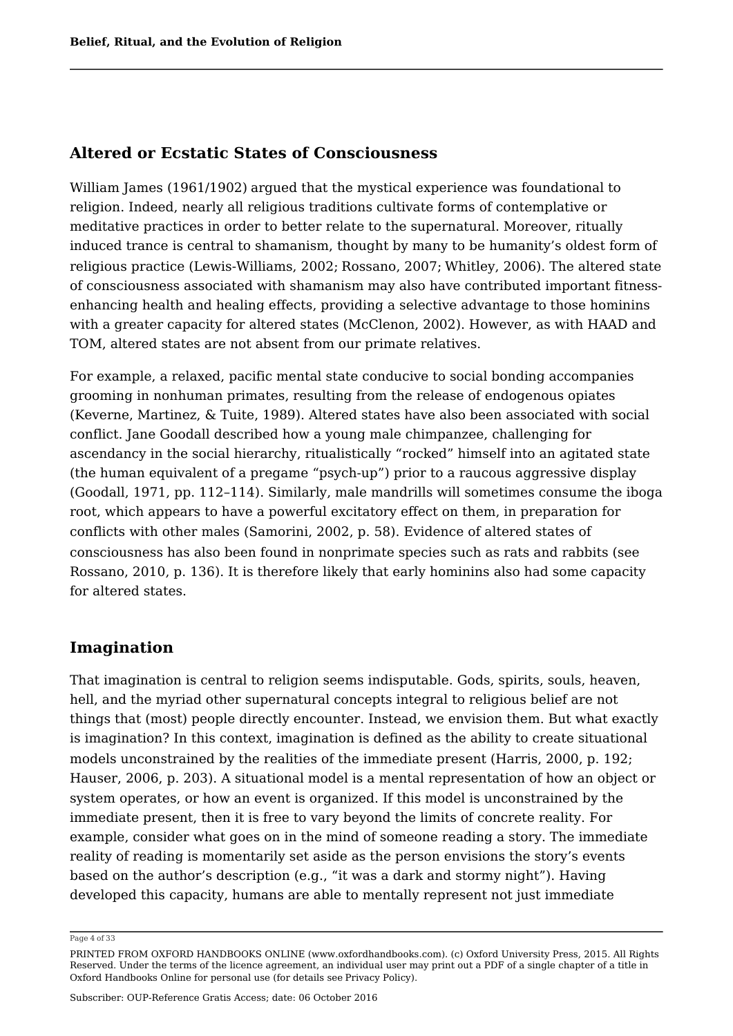#### **Altered or Ecstatic States of Consciousness**

William James (1961/1902) argued that the mystical experience was foundational to religion. Indeed, nearly all religious traditions cultivate forms of contemplative or meditative practices in order to better relate to the supernatural. Moreover, ritually induced trance is central to shamanism, thought by many to be humanity's oldest form of religious practice (Lewis-Williams, 2002; Rossano, 2007; Whitley, 2006). The altered state of consciousness associated with shamanism may also have contributed important fitnessenhancing health and healing effects, providing a selective advantage to those hominins with a greater capacity for altered states (McClenon, 2002). However, as with HAAD and TOM, altered states are not absent from our primate relatives.

For example, a relaxed, pacific mental state conducive to social bonding accompanies grooming in nonhuman primates, resulting from the release of endogenous opiates (Keverne, Martinez, & Tuite, 1989). Altered states have also been associated with social conflict. Jane Goodall described how a young male chimpanzee, challenging for ascendancy in the social hierarchy, ritualistically "rocked" himself into an agitated state (the human equivalent of a pregame "psych-up") prior to a raucous aggressive display (Goodall, 1971, pp. 112–114). Similarly, male mandrills will sometimes consume the iboga root, which appears to have a powerful excitatory effect on them, in preparation for conflicts with other males (Samorini, 2002, p. 58). Evidence of altered states of consciousness has also been found in nonprimate species such as rats and rabbits (see Rossano, 2010, p. 136). It is therefore likely that early hominins also had some capacity for altered states.

#### **Imagination**

That imagination is central to religion seems indisputable. Gods, spirits, souls, heaven, hell, and the myriad other supernatural concepts integral to religious belief are not things that (most) people directly encounter. Instead, we envision them. But what exactly is imagination? In this context, imagination is defined as the ability to create situational models unconstrained by the realities of the immediate present (Harris, 2000, p. 192; Hauser, 2006, p. 203). A situational model is a mental representation of how an object or system operates, or how an event is organized. If this model is unconstrained by the immediate present, then it is free to vary beyond the limits of concrete reality. For example, consider what goes on in the mind of someone reading a story. The immediate reality of reading is momentarily set aside as the person envisions the story's events based on the author's description (e.g., "it was a dark and stormy night"). Having developed this capacity, humans are able to mentally represent not just immediate

Page 4 of 33

PRINTED FROM OXFORD HANDBOOKS ONLINE (www.oxfordhandbooks.com). (c) Oxford University Press, 2015. All Rights Reserved. Under the terms of the licence agreement, an individual user may print out a PDF of a single chapter of a title in Oxford Handbooks Online for personal use (for details see Privacy Policy).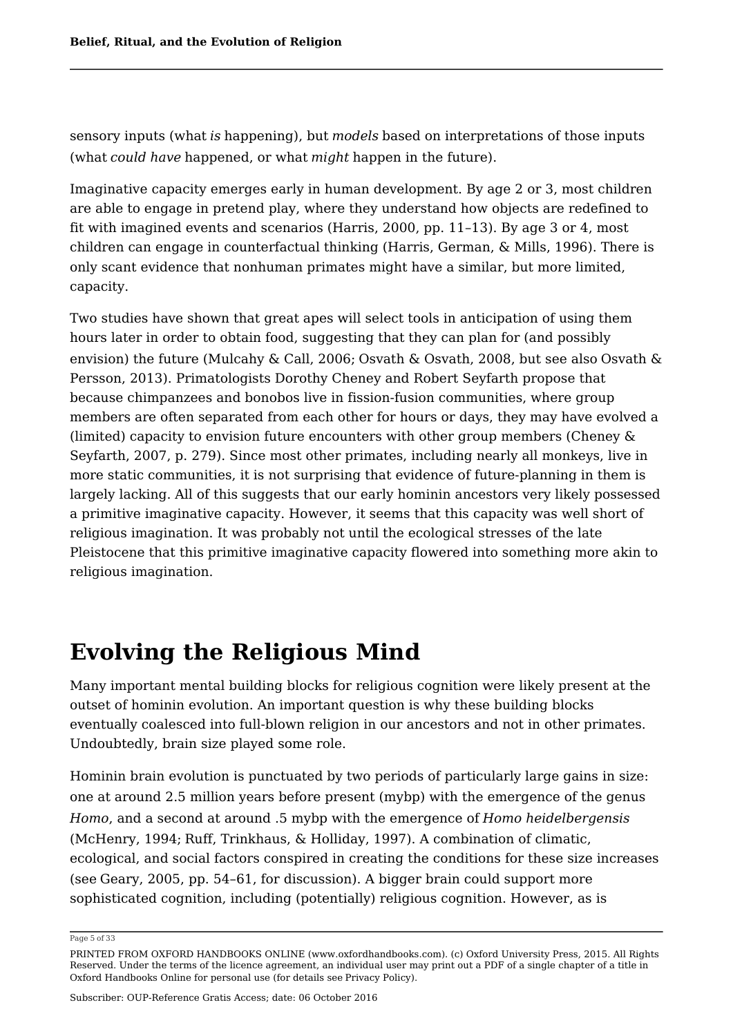sensory inputs (what *is* happening), but *models* based on interpretations of those inputs (what *could have* happened, or what *might* happen in the future).

Imaginative capacity emerges early in human development. By age 2 or 3, most children are able to engage in pretend play, where they understand how objects are redefined to fit with imagined events and scenarios (Harris, 2000, pp. 11–13). By age 3 or 4, most children can engage in counterfactual thinking (Harris, German, & Mills, 1996). There is only scant evidence that nonhuman primates might have a similar, but more limited, capacity.

Two studies have shown that great apes will select tools in anticipation of using them hours later in order to obtain food, suggesting that they can plan for (and possibly envision) the future (Mulcahy & Call, 2006; Osvath & Osvath, 2008, but see also Osvath & Persson, 2013). Primatologists Dorothy Cheney and Robert Seyfarth propose that because chimpanzees and bonobos live in fission-fusion communities, where group members are often separated from each other for hours or days, they may have evolved a (limited) capacity to envision future encounters with other group members (Cheney & Seyfarth, 2007, p. 279). Since most other primates, including nearly all monkeys, live in more static communities, it is not surprising that evidence of future-planning in them is largely lacking. All of this suggests that our early hominin ancestors very likely possessed a primitive imaginative capacity. However, it seems that this capacity was well short of religious imagination. It was probably not until the ecological stresses of the late Pleistocene that this primitive imaginative capacity flowered into something more akin to religious imagination.

# **Evolving the Religious Mind**

Many important mental building blocks for religious cognition were likely present at the outset of hominin evolution. An important question is why these building blocks eventually coalesced into full-blown religion in our ancestors and not in other primates. Undoubtedly, brain size played some role.

Hominin brain evolution is punctuated by two periods of particularly large gains in size: one at around 2.5 million years before present (mybp) with the emergence of the genus *Homo*, and a second at around .5 mybp with the emergence of *Homo heidelbergensis* (McHenry, 1994; Ruff, Trinkhaus, & Holliday, 1997). A combination of climatic, ecological, and social factors conspired in creating the conditions for these size increases (see Geary, 2005, pp. 54–61, for discussion). A bigger brain could support more sophisticated cognition, including (potentially) religious cognition. However, as is

Page 5 of 33

PRINTED FROM OXFORD HANDBOOKS ONLINE (www.oxfordhandbooks.com). (c) Oxford University Press, 2015. All Rights Reserved. Under the terms of the licence agreement, an individual user may print out a PDF of a single chapter of a title in Oxford Handbooks Online for personal use (for details see Privacy Policy).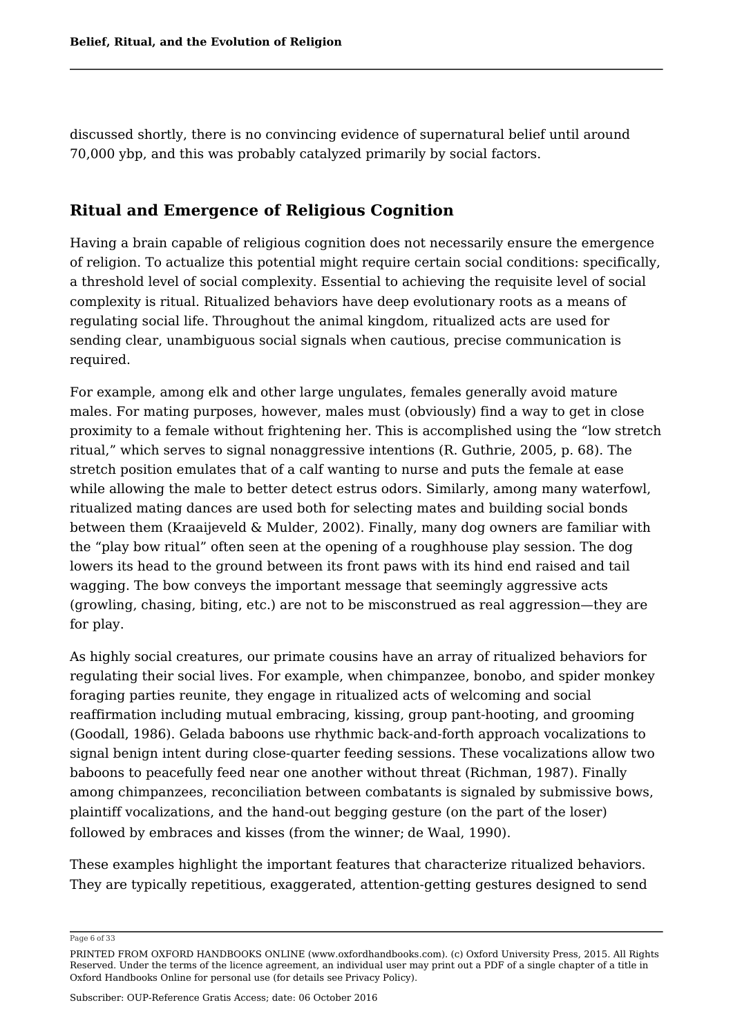discussed shortly, there is no convincing evidence of supernatural belief until around 70,000 ybp, and this was probably catalyzed primarily by social factors.

#### **Ritual and Emergence of Religious Cognition**

Having a brain capable of religious cognition does not necessarily ensure the emergence of religion. To actualize this potential might require certain social conditions: specifically, a threshold level of social complexity. Essential to achieving the requisite level of social complexity is ritual. Ritualized behaviors have deep evolutionary roots as a means of regulating social life. Throughout the animal kingdom, ritualized acts are used for sending clear, unambiguous social signals when cautious, precise communication is required.

For example, among elk and other large ungulates, females generally avoid mature males. For mating purposes, however, males must (obviously) find a way to get in close proximity to a female without frightening her. This is accomplished using the "low stretch ritual," which serves to signal nonaggressive intentions (R. Guthrie, 2005, p. 68). The stretch position emulates that of a calf wanting to nurse and puts the female at ease while allowing the male to better detect estrus odors. Similarly, among many waterfowl, ritualized mating dances are used both for selecting mates and building social bonds between them (Kraaijeveld & Mulder, 2002). Finally, many dog owners are familiar with the "play bow ritual" often seen at the opening of a roughhouse play session. The dog lowers its head to the ground between its front paws with its hind end raised and tail wagging. The bow conveys the important message that seemingly aggressive acts (growling, chasing, biting, etc.) are not to be misconstrued as real aggression—they are for play.

As highly social creatures, our primate cousins have an array of ritualized behaviors for regulating their social lives. For example, when chimpanzee, bonobo, and spider monkey foraging parties reunite, they engage in ritualized acts of welcoming and social reaffirmation including mutual embracing, kissing, group pant-hooting, and grooming (Goodall, 1986). Gelada baboons use rhythmic back-and-forth approach vocalizations to signal benign intent during close-quarter feeding sessions. These vocalizations allow two baboons to peacefully feed near one another without threat (Richman, 1987). Finally among chimpanzees, reconciliation between combatants is signaled by submissive bows, plaintiff vocalizations, and the hand-out begging gesture (on the part of the loser) followed by embraces and kisses (from the winner; de Waal, 1990).

These examples highlight the important features that characterize ritualized behaviors. They are typically repetitious, exaggerated, attention-getting gestures designed to send

Page 6 of 33

PRINTED FROM OXFORD HANDBOOKS ONLINE (www.oxfordhandbooks.com). (c) Oxford University Press, 2015. All Rights Reserved. Under the terms of the licence agreement, an individual user may print out a PDF of a single chapter of a title in Oxford Handbooks Online for personal use (for details see Privacy Policy).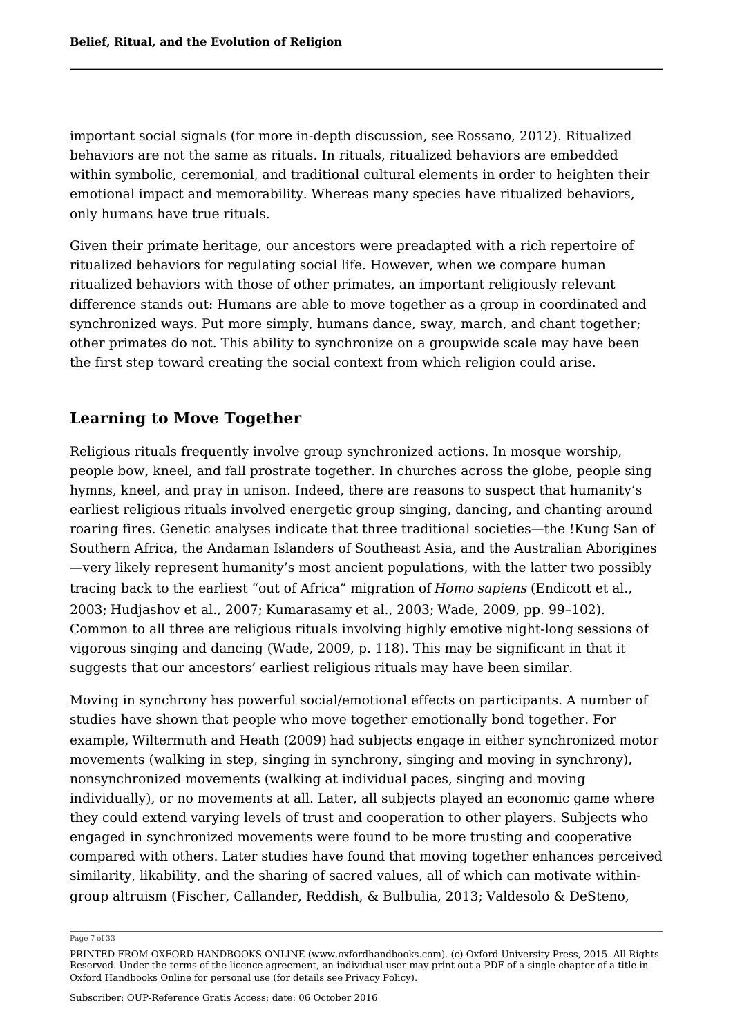important social signals (for more in-depth discussion, see Rossano, 2012). Ritualized behaviors are not the same as rituals. In rituals, ritualized behaviors are embedded within symbolic, ceremonial, and traditional cultural elements in order to heighten their emotional impact and memorability. Whereas many species have ritualized behaviors, only humans have true rituals.

Given their primate heritage, our ancestors were preadapted with a rich repertoire of ritualized behaviors for regulating social life. However, when we compare human ritualized behaviors with those of other primates, an important religiously relevant difference stands out: Humans are able to move together as a group in coordinated and synchronized ways. Put more simply, humans dance, sway, march, and chant together; other primates do not. This ability to synchronize on a groupwide scale may have been the first step toward creating the social context from which religion could arise.

### **Learning to Move Together**

Religious rituals frequently involve group synchronized actions. In mosque worship, people bow, kneel, and fall prostrate together. In churches across the globe, people sing hymns, kneel, and pray in unison. Indeed, there are reasons to suspect that humanity's earliest religious rituals involved energetic group singing, dancing, and chanting around roaring fires. Genetic analyses indicate that three traditional societies—the !Kung San of Southern Africa, the Andaman Islanders of Southeast Asia, and the Australian Aborigines —very likely represent humanity's most ancient populations, with the latter two possibly tracing back to the earliest "out of Africa" migration of *Homo sapiens* (Endicott et al., 2003; Hudjashov et al., 2007; Kumarasamy et al., 2003; Wade, 2009, pp. 99–102). Common to all three are religious rituals involving highly emotive night-long sessions of vigorous singing and dancing (Wade, 2009, p. 118). This may be significant in that it suggests that our ancestors' earliest religious rituals may have been similar.

Moving in synchrony has powerful social/emotional effects on participants. A number of studies have shown that people who move together emotionally bond together. For example, Wiltermuth and Heath (2009) had subjects engage in either synchronized motor movements (walking in step, singing in synchrony, singing and moving in synchrony), nonsynchronized movements (walking at individual paces, singing and moving individually), or no movements at all. Later, all subjects played an economic game where they could extend varying levels of trust and cooperation to other players. Subjects who engaged in synchronized movements were found to be more trusting and cooperative compared with others. Later studies have found that moving together enhances perceived similarity, likability, and the sharing of sacred values, all of which can motivate withingroup altruism (Fischer, Callander, Reddish, & Bulbulia, 2013; Valdesolo & DeSteno,

#### Page 7 of 33

PRINTED FROM OXFORD HANDBOOKS ONLINE (www.oxfordhandbooks.com). (c) Oxford University Press, 2015. All Rights Reserved. Under the terms of the licence agreement, an individual user may print out a PDF of a single chapter of a title in Oxford Handbooks Online for personal use (for details see Privacy Policy).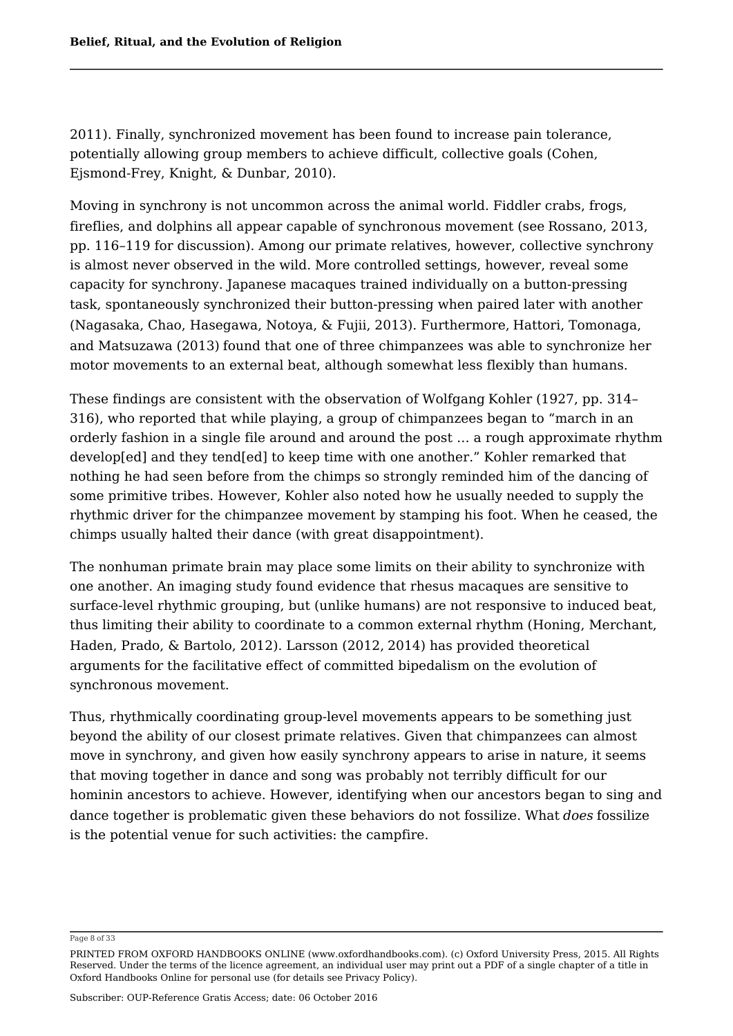2011). Finally, synchronized movement has been found to increase pain tolerance, potentially allowing group members to achieve difficult, collective goals (Cohen, Ejsmond-Frey, Knight, & Dunbar, 2010).

Moving in synchrony is not uncommon across the animal world. Fiddler crabs, frogs, fireflies, and dolphins all appear capable of synchronous movement (see Rossano, 2013, pp. 116–119 for discussion). Among our primate relatives, however, collective synchrony is almost never observed in the wild. More controlled settings, however, reveal some capacity for synchrony. Japanese macaques trained individually on a button-pressing task, spontaneously synchronized their button-pressing when paired later with another (Nagasaka, Chao, Hasegawa, Notoya, & Fujii, 2013). Furthermore, Hattori, Tomonaga, and Matsuzawa (2013) found that one of three chimpanzees was able to synchronize her motor movements to an external beat, although somewhat less flexibly than humans.

These findings are consistent with the observation of Wolfgang Kohler (1927, pp. 314– 316), who reported that while playing, a group of chimpanzees began to "march in an orderly fashion in a single file around and around the post … a rough approximate rhythm develop[ed] and they tend[ed] to keep time with one another." Kohler remarked that nothing he had seen before from the chimps so strongly reminded him of the dancing of some primitive tribes. However, Kohler also noted how he usually needed to supply the rhythmic driver for the chimpanzee movement by stamping his foot. When he ceased, the chimps usually halted their dance (with great disappointment).

The nonhuman primate brain may place some limits on their ability to synchronize with one another. An imaging study found evidence that rhesus macaques are sensitive to surface-level rhythmic grouping, but (unlike humans) are not responsive to induced beat, thus limiting their ability to coordinate to a common external rhythm (Honing, Merchant, Haden, Prado, & Bartolo, 2012). Larsson (2012, 2014) has provided theoretical arguments for the facilitative effect of committed bipedalism on the evolution of synchronous movement.

Thus, rhythmically coordinating group-level movements appears to be something just beyond the ability of our closest primate relatives. Given that chimpanzees can almost move in synchrony, and given how easily synchrony appears to arise in nature, it seems that moving together in dance and song was probably not terribly difficult for our hominin ancestors to achieve. However, identifying when our ancestors began to sing and dance together is problematic given these behaviors do not fossilize. What *does* fossilize is the potential venue for such activities: the campfire.

Page 8 of 33

PRINTED FROM OXFORD HANDBOOKS ONLINE (www.oxfordhandbooks.com). (c) Oxford University Press, 2015. All Rights Reserved. Under the terms of the licence agreement, an individual user may print out a PDF of a single chapter of a title in Oxford Handbooks Online for personal use (for details see Privacy Policy).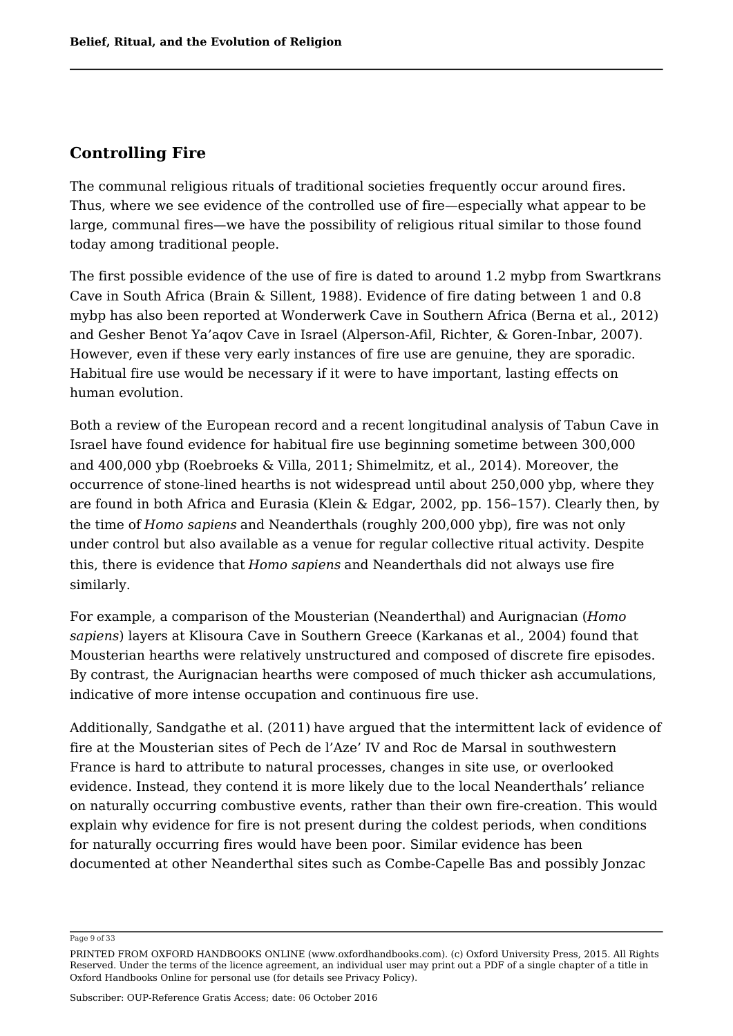# **Controlling Fire**

The communal religious rituals of traditional societies frequently occur around fires. Thus, where we see evidence of the controlled use of fire—especially what appear to be large, communal fires—we have the possibility of religious ritual similar to those found today among traditional people.

The first possible evidence of the use of fire is dated to around 1.2 mybp from Swartkrans Cave in South Africa (Brain & Sillent, 1988). Evidence of fire dating between 1 and 0.8 mybp has also been reported at Wonderwerk Cave in Southern Africa (Berna et al., 2012) and Gesher Benot Ya'aqov Cave in Israel (Alperson-Afil, Richter, & Goren-Inbar, 2007). However, even if these very early instances of fire use are genuine, they are sporadic. Habitual fire use would be necessary if it were to have important, lasting effects on human evolution.

Both a review of the European record and a recent longitudinal analysis of Tabun Cave in Israel have found evidence for habitual fire use beginning sometime between 300,000 and 400,000 ybp (Roebroeks & Villa, 2011; Shimelmitz, et al., 2014). Moreover, the occurrence of stone-lined hearths is not widespread until about 250,000 ybp, where they are found in both Africa and Eurasia (Klein & Edgar, 2002, pp. 156–157). Clearly then, by the time of *Homo sapiens* and Neanderthals (roughly 200,000 ybp), fire was not only under control but also available as a venue for regular collective ritual activity. Despite this, there is evidence that *Homo sapiens* and Neanderthals did not always use fire similarly.

For example, a comparison of the Mousterian (Neanderthal) and Aurignacian (*Homo sapiens*) layers at Klisoura Cave in Southern Greece (Karkanas et al., 2004) found that Mousterian hearths were relatively unstructured and composed of discrete fire episodes. By contrast, the Aurignacian hearths were composed of much thicker ash accumulations, indicative of more intense occupation and continuous fire use.

Additionally, Sandgathe et al. (2011) have argued that the intermittent lack of evidence of fire at the Mousterian sites of Pech de l'Aze' IV and Roc de Marsal in southwestern France is hard to attribute to natural processes, changes in site use, or overlooked evidence. Instead, they contend it is more likely due to the local Neanderthals' reliance on naturally occurring combustive events, rather than their own fire-creation. This would explain why evidence for fire is not present during the coldest periods, when conditions for naturally occurring fires would have been poor. Similar evidence has been documented at other Neanderthal sites such as Combe-Capelle Bas and possibly Jonzac

Page 9 of 33

PRINTED FROM OXFORD HANDBOOKS ONLINE (www.oxfordhandbooks.com). (c) Oxford University Press, 2015. All Rights Reserved. Under the terms of the licence agreement, an individual user may print out a PDF of a single chapter of a title in Oxford Handbooks Online for personal use (for details see Privacy Policy).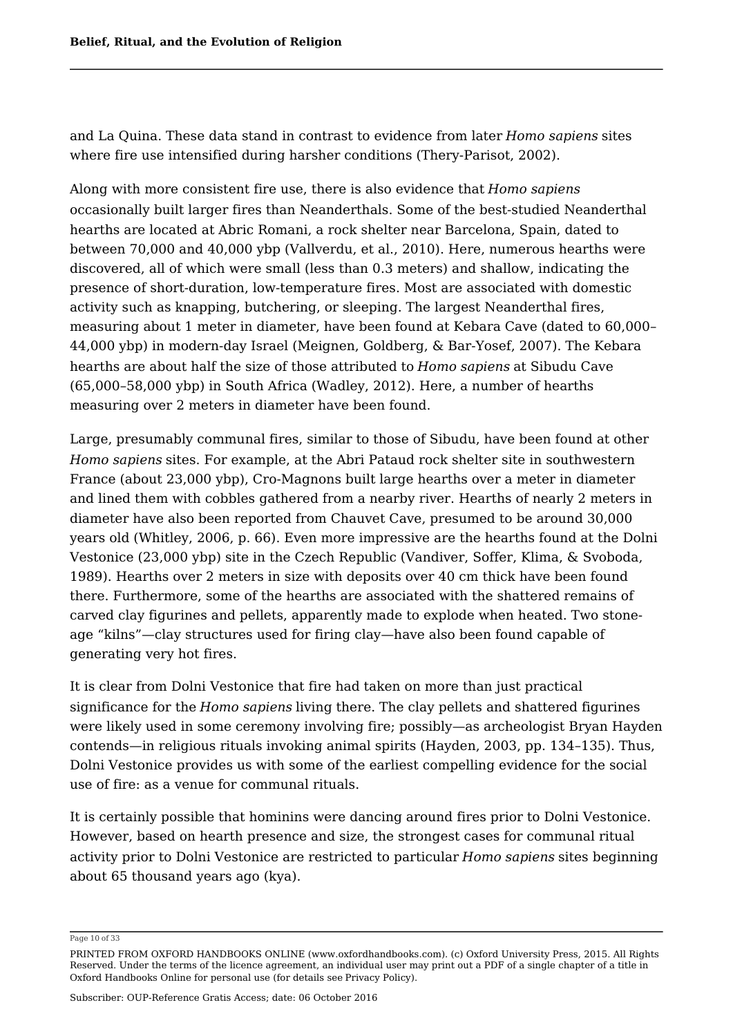and La Quina. These data stand in contrast to evidence from later *Homo sapiens* sites where fire use intensified during harsher conditions (Thery-Parisot, 2002).

Along with more consistent fire use, there is also evidence that *Homo sapiens* occasionally built larger fires than Neanderthals. Some of the best-studied Neanderthal hearths are located at Abric Romani, a rock shelter near Barcelona, Spain, dated to between 70,000 and 40,000 ybp (Vallverdu, et al., 2010). Here, numerous hearths were discovered, all of which were small (less than 0.3 meters) and shallow, indicating the presence of short-duration, low-temperature fires. Most are associated with domestic activity such as knapping, butchering, or sleeping. The largest Neanderthal fires, measuring about 1 meter in diameter, have been found at Kebara Cave (dated to 60,000– 44,000 ybp) in modern-day Israel (Meignen, Goldberg, & Bar-Yosef, 2007). The Kebara hearths are about half the size of those attributed to *Homo sapiens* at Sibudu Cave (65,000–58,000 ybp) in South Africa (Wadley, 2012). Here, a number of hearths measuring over 2 meters in diameter have been found.

Large, presumably communal fires, similar to those of Sibudu, have been found at other *Homo sapiens* sites. For example, at the Abri Pataud rock shelter site in southwestern France (about 23,000 ybp), Cro-Magnons built large hearths over a meter in diameter and lined them with cobbles gathered from a nearby river. Hearths of nearly 2 meters in diameter have also been reported from Chauvet Cave, presumed to be around 30,000 years old (Whitley, 2006, p. 66). Even more impressive are the hearths found at the Dolni Vestonice (23,000 ybp) site in the Czech Republic (Vandiver, Soffer, Klima, & Svoboda, 1989). Hearths over 2 meters in size with deposits over 40 cm thick have been found there. Furthermore, some of the hearths are associated with the shattered remains of carved clay figurines and pellets, apparently made to explode when heated. Two stoneage "kilns"—clay structures used for firing clay—have also been found capable of generating very hot fires.

It is clear from Dolni Vestonice that fire had taken on more than just practical significance for the *Homo sapiens* living there. The clay pellets and shattered figurines were likely used in some ceremony involving fire; possibly—as archeologist Bryan Hayden contends—in religious rituals invoking animal spirits (Hayden, 2003, pp. 134–135). Thus, Dolni Vestonice provides us with some of the earliest compelling evidence for the social use of fire: as a venue for communal rituals.

It is certainly possible that hominins were dancing around fires prior to Dolni Vestonice. However, based on hearth presence and size, the strongest cases for communal ritual activity prior to Dolni Vestonice are restricted to particular *Homo sapiens* sites beginning about 65 thousand years ago (kya).

Page 10 of 33

PRINTED FROM OXFORD HANDBOOKS ONLINE (www.oxfordhandbooks.com). (c) Oxford University Press, 2015. All Rights Reserved. Under the terms of the licence agreement, an individual user may print out a PDF of a single chapter of a title in Oxford Handbooks Online for personal use (for details see Privacy Policy).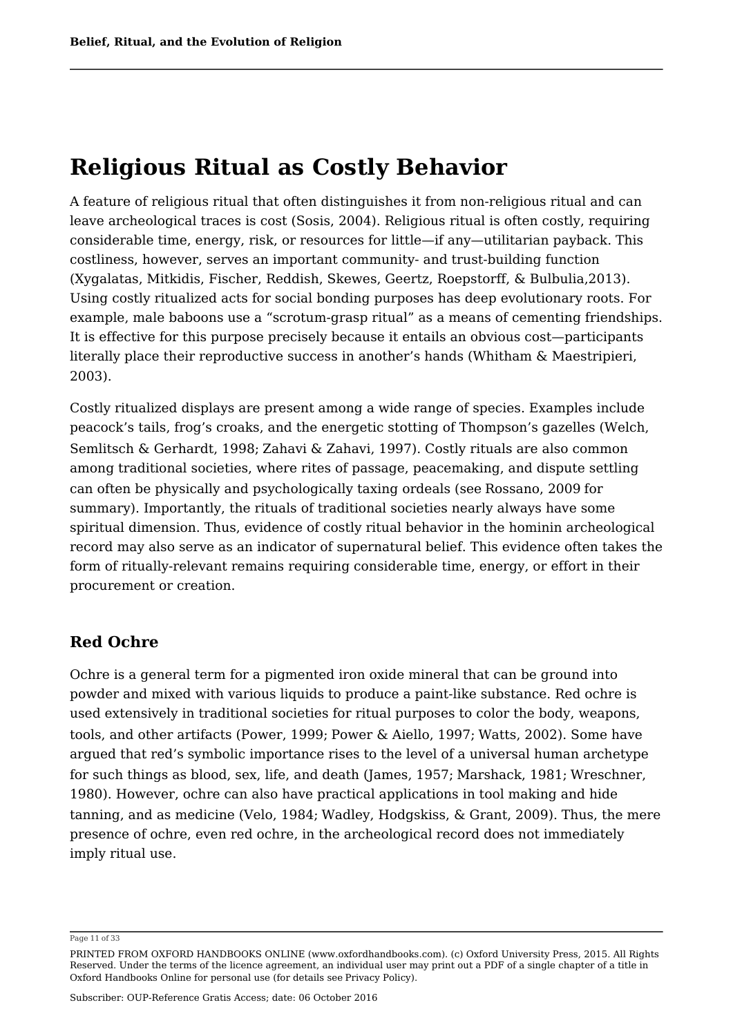# **Religious Ritual as Costly Behavior**

A feature of religious ritual that often distinguishes it from non-religious ritual and can leave archeological traces is cost (Sosis, 2004). Religious ritual is often costly, requiring considerable time, energy, risk, or resources for little—if any—utilitarian payback. This costliness, however, serves an important community- and trust-building function (Xygalatas, Mitkidis, Fischer, Reddish, Skewes, Geertz, Roepstorff, & Bulbulia,2013). Using costly ritualized acts for social bonding purposes has deep evolutionary roots. For example, male baboons use a "scrotum-grasp ritual" as a means of cementing friendships. It is effective for this purpose precisely because it entails an obvious cost—participants literally place their reproductive success in another's hands (Whitham & Maestripieri, 2003).

Costly ritualized displays are present among a wide range of species. Examples include peacock's tails, frog's croaks, and the energetic stotting of Thompson's gazelles (Welch, Semlitsch & Gerhardt, 1998; Zahavi & Zahavi, 1997). Costly rituals are also common among traditional societies, where rites of passage, peacemaking, and dispute settling can often be physically and psychologically taxing ordeals (see Rossano, 2009 for summary). Importantly, the rituals of traditional societies nearly always have some spiritual dimension. Thus, evidence of costly ritual behavior in the hominin archeological record may also serve as an indicator of supernatural belief. This evidence often takes the form of ritually-relevant remains requiring considerable time, energy, or effort in their procurement or creation.

# **Red Ochre**

Ochre is a general term for a pigmented iron oxide mineral that can be ground into powder and mixed with various liquids to produce a paint-like substance. Red ochre is used extensively in traditional societies for ritual purposes to color the body, weapons, tools, and other artifacts (Power, 1999; Power & Aiello, 1997; Watts, 2002). Some have argued that red's symbolic importance rises to the level of a universal human archetype for such things as blood, sex, life, and death (James, 1957; Marshack, 1981; Wreschner, 1980). However, ochre can also have practical applications in tool making and hide tanning, and as medicine (Velo, 1984; Wadley, Hodgskiss, & Grant, 2009). Thus, the mere presence of ochre, even red ochre, in the archeological record does not immediately imply ritual use.

Page 11 of 33

PRINTED FROM OXFORD HANDBOOKS ONLINE (www.oxfordhandbooks.com). (c) Oxford University Press, 2015. All Rights Reserved. Under the terms of the licence agreement, an individual user may print out a PDF of a single chapter of a title in Oxford Handbooks Online for personal use (for details see Privacy Policy).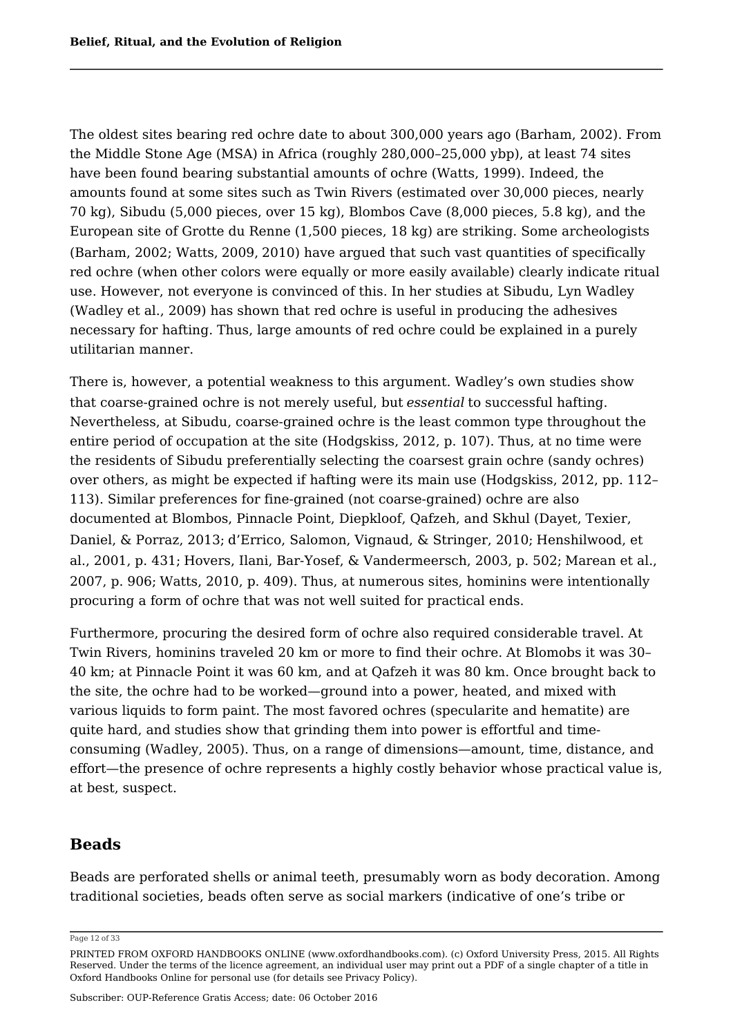The oldest sites bearing red ochre date to about 300,000 years ago (Barham, 2002). From the Middle Stone Age (MSA) in Africa (roughly 280,000–25,000 ybp), at least 74 sites have been found bearing substantial amounts of ochre (Watts, 1999). Indeed, the amounts found at some sites such as Twin Rivers (estimated over 30,000 pieces, nearly 70 kg), Sibudu (5,000 pieces, over 15 kg), Blombos Cave (8,000 pieces, 5.8 kg), and the European site of Grotte du Renne (1,500 pieces, 18 kg) are striking. Some archeologists (Barham, 2002; Watts, 2009, 2010) have argued that such vast quantities of specifically red ochre (when other colors were equally or more easily available) clearly indicate ritual use. However, not everyone is convinced of this. In her studies at Sibudu, Lyn Wadley (Wadley et al., 2009) has shown that red ochre is useful in producing the adhesives necessary for hafting. Thus, large amounts of red ochre could be explained in a purely utilitarian manner.

There is, however, a potential weakness to this argument. Wadley's own studies show that coarse-grained ochre is not merely useful, but *essential* to successful hafting. Nevertheless, at Sibudu, coarse-grained ochre is the least common type throughout the entire period of occupation at the site (Hodgskiss, 2012, p. 107). Thus, at no time were the residents of Sibudu preferentially selecting the coarsest grain ochre (sandy ochres) over others, as might be expected if hafting were its main use (Hodgskiss, 2012, pp. 112– 113). Similar preferences for fine-grained (not coarse-grained) ochre are also documented at Blombos, Pinnacle Point, Diepkloof, Qafzeh, and Skhul (Dayet, Texier, Daniel, & Porraz, 2013; d'Errico, Salomon, Vignaud, & Stringer, 2010; Henshilwood, et al., 2001, p. 431; Hovers, Ilani, Bar-Yosef, & Vandermeersch, 2003, p. 502; Marean et al., 2007, p. 906; Watts, 2010, p. 409). Thus, at numerous sites, hominins were intentionally procuring a form of ochre that was not well suited for practical ends.

Furthermore, procuring the desired form of ochre also required considerable travel. At Twin Rivers, hominins traveled 20 km or more to find their ochre. At Blomobs it was 30– 40 km; at Pinnacle Point it was 60 km, and at Qafzeh it was 80 km. Once brought back to the site, the ochre had to be worked—ground into a power, heated, and mixed with various liquids to form paint. The most favored ochres (specularite and hematite) are quite hard, and studies show that grinding them into power is effortful and timeconsuming (Wadley, 2005). Thus, on a range of dimensions—amount, time, distance, and effort—the presence of ochre represents a highly costly behavior whose practical value is, at best, suspect.

### **Beads**

Beads are perforated shells or animal teeth, presumably worn as body decoration. Among traditional societies, beads often serve as social markers (indicative of one's tribe or

Page 12 of 33

PRINTED FROM OXFORD HANDBOOKS ONLINE (www.oxfordhandbooks.com). (c) Oxford University Press, 2015. All Rights Reserved. Under the terms of the licence agreement, an individual user may print out a PDF of a single chapter of a title in Oxford Handbooks Online for personal use (for details see Privacy Policy).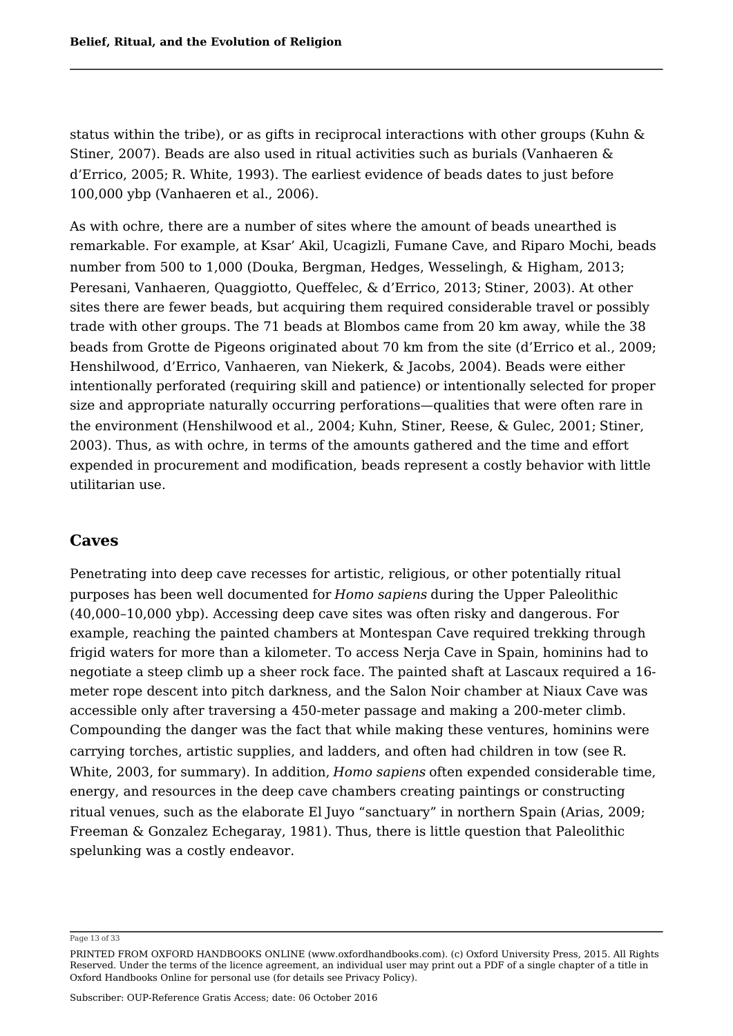status within the tribe), or as gifts in reciprocal interactions with other groups (Kuhn & Stiner, 2007). Beads are also used in ritual activities such as burials (Vanhaeren & d'Errico, 2005; R. White, 1993). The earliest evidence of beads dates to just before 100,000 ybp (Vanhaeren et al., 2006).

As with ochre, there are a number of sites where the amount of beads unearthed is remarkable. For example, at Ksar' Akil, Ucagizli, Fumane Cave, and Riparo Mochi, beads number from 500 to 1,000 (Douka, Bergman, Hedges, Wesselingh, & Higham, 2013; Peresani, Vanhaeren, Quaggiotto, Queffelec, & d'Errico, 2013; Stiner, 2003). At other sites there are fewer beads, but acquiring them required considerable travel or possibly trade with other groups. The 71 beads at Blombos came from 20 km away, while the 38 beads from Grotte de Pigeons originated about 70 km from the site (d'Errico et al., 2009; Henshilwood, d'Errico, Vanhaeren, van Niekerk, & Jacobs, 2004). Beads were either intentionally perforated (requiring skill and patience) or intentionally selected for proper size and appropriate naturally occurring perforations—qualities that were often rare in the environment (Henshilwood et al., 2004; Kuhn, Stiner, Reese, & Gulec, 2001; Stiner, 2003). Thus, as with ochre, in terms of the amounts gathered and the time and effort expended in procurement and modification, beads represent a costly behavior with little utilitarian use.

#### **Caves**

Penetrating into deep cave recesses for artistic, religious, or other potentially ritual purposes has been well documented for *Homo sapiens* during the Upper Paleolithic (40,000–10,000 ybp). Accessing deep cave sites was often risky and dangerous. For example, reaching the painted chambers at Montespan Cave required trekking through frigid waters for more than a kilometer. To access Nerja Cave in Spain, hominins had to negotiate a steep climb up a sheer rock face. The painted shaft at Lascaux required a 16 meter rope descent into pitch darkness, and the Salon Noir chamber at Niaux Cave was accessible only after traversing a 450-meter passage and making a 200-meter climb. Compounding the danger was the fact that while making these ventures, hominins were carrying torches, artistic supplies, and ladders, and often had children in tow (see R. White, 2003, for summary). In addition, *Homo sapiens* often expended considerable time, energy, and resources in the deep cave chambers creating paintings or constructing ritual venues, such as the elaborate El Juyo "sanctuary" in northern Spain (Arias, 2009; Freeman & Gonzalez Echegaray, 1981). Thus, there is little question that Paleolithic spelunking was a costly endeavor.

Page 13 of 33

PRINTED FROM OXFORD HANDBOOKS ONLINE (www.oxfordhandbooks.com). (c) Oxford University Press, 2015. All Rights Reserved. Under the terms of the licence agreement, an individual user may print out a PDF of a single chapter of a title in Oxford Handbooks Online for personal use (for details see Privacy Policy).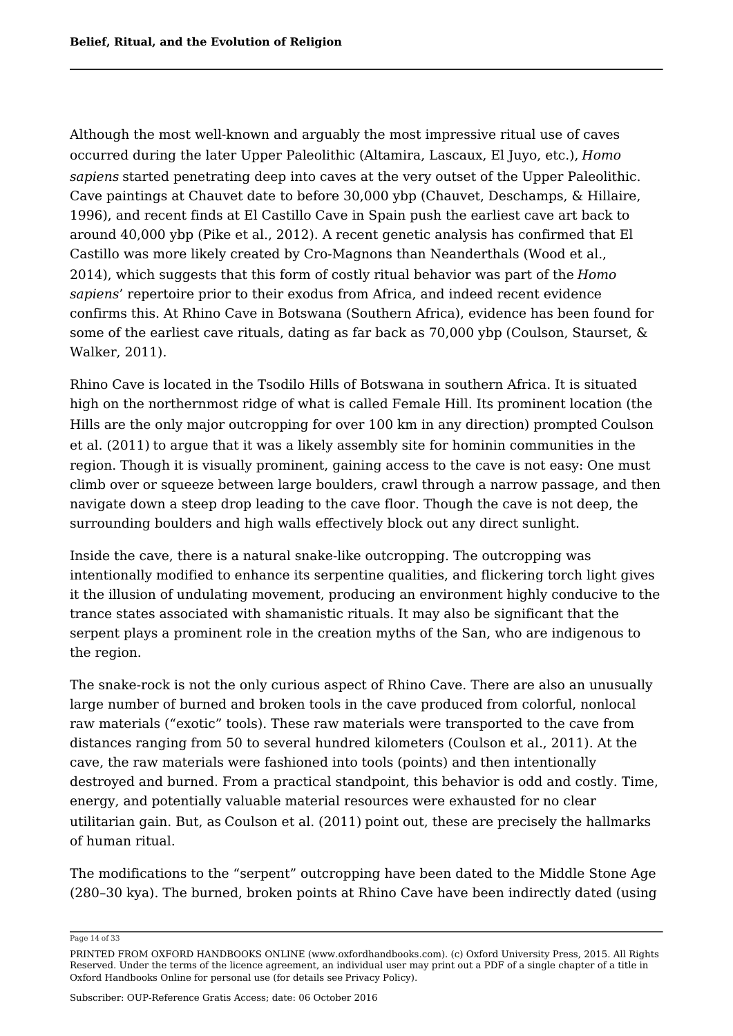Although the most well-known and arguably the most impressive ritual use of caves occurred during the later Upper Paleolithic (Altamira, Lascaux, El Juyo, etc.), *Homo sapiens* started penetrating deep into caves at the very outset of the Upper Paleolithic. Cave paintings at Chauvet date to before 30,000 ybp (Chauvet, Deschamps, & Hillaire, 1996), and recent finds at El Castillo Cave in Spain push the earliest cave art back to around 40,000 ybp (Pike et al., 2012). A recent genetic analysis has confirmed that El Castillo was more likely created by Cro-Magnons than Neanderthals (Wood et al., 2014), which suggests that this form of costly ritual behavior was part of the *Homo sapiens*' repertoire prior to their exodus from Africa, and indeed recent evidence confirms this. At Rhino Cave in Botswana (Southern Africa), evidence has been found for some of the earliest cave rituals, dating as far back as 70,000 ybp (Coulson, Staurset, & Walker, 2011).

Rhino Cave is located in the Tsodilo Hills of Botswana in southern Africa. It is situated high on the northernmost ridge of what is called Female Hill. Its prominent location (the Hills are the only major outcropping for over 100 km in any direction) prompted Coulson et al. (2011) to argue that it was a likely assembly site for hominin communities in the region. Though it is visually prominent, gaining access to the cave is not easy: One must climb over or squeeze between large boulders, crawl through a narrow passage, and then navigate down a steep drop leading to the cave floor. Though the cave is not deep, the surrounding boulders and high walls effectively block out any direct sunlight.

Inside the cave, there is a natural snake-like outcropping. The outcropping was intentionally modified to enhance its serpentine qualities, and flickering torch light gives it the illusion of undulating movement, producing an environment highly conducive to the trance states associated with shamanistic rituals. It may also be significant that the serpent plays a prominent role in the creation myths of the San, who are indigenous to the region.

The snake-rock is not the only curious aspect of Rhino Cave. There are also an unusually large number of burned and broken tools in the cave produced from colorful, nonlocal raw materials ("exotic" tools). These raw materials were transported to the cave from distances ranging from 50 to several hundred kilometers (Coulson et al., 2011). At the cave, the raw materials were fashioned into tools (points) and then intentionally destroyed and burned. From a practical standpoint, this behavior is odd and costly. Time, energy, and potentially valuable material resources were exhausted for no clear utilitarian gain. But, as Coulson et al. (2011) point out, these are precisely the hallmarks of human ritual.

The modifications to the "serpent" outcropping have been dated to the Middle Stone Age (280–30 kya). The burned, broken points at Rhino Cave have been indirectly dated (using

Page 14 of 33

PRINTED FROM OXFORD HANDBOOKS ONLINE (www.oxfordhandbooks.com). (c) Oxford University Press, 2015. All Rights Reserved. Under the terms of the licence agreement, an individual user may print out a PDF of a single chapter of a title in Oxford Handbooks Online for personal use (for details see Privacy Policy).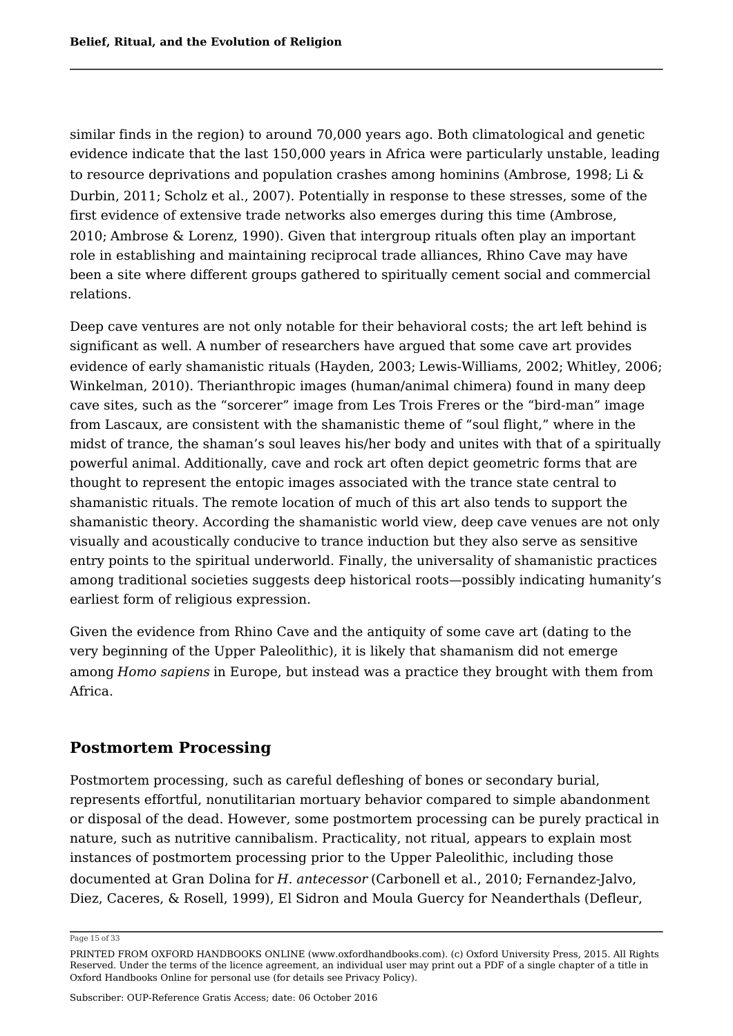similar finds in the region) to around 70,000 years ago. Both climatological and genetic evidence indicate that the last 150,000 years in Africa were particularly unstable, leading to resource deprivations and population crashes among hominins (Ambrose, 1998; Li & Durbin, 2011; Scholz et al., 2007). Potentially in response to these stresses, some of the first evidence of extensive trade networks also emerges during this time (Ambrose, 2010; Ambrose & Lorenz, 1990). Given that intergroup rituals often play an important role in establishing and maintaining reciprocal trade alliances, Rhino Cave may have been a site where different groups gathered to spiritually cement social and commercial relations.

Deep cave ventures are not only notable for their behavioral costs; the art left behind is significant as well. A number of researchers have argued that some cave art provides evidence of early shamanistic rituals (Hayden, 2003; Lewis-Williams, 2002; Whitley, 2006; Winkelman, 2010). Therianthropic images (human/animal chimera) found in many deep cave sites, such as the "sorcerer" image from Les Trois Freres or the "bird-man" image from Lascaux, are consistent with the shamanistic theme of "soul flight," where in the midst of trance, the shaman's soul leaves his/her body and unites with that of a spiritually powerful animal. Additionally, cave and rock art often depict geometric forms that are thought to represent the entopic images associated with the trance state central to shamanistic rituals. The remote location of much of this art also tends to support the shamanistic theory. According the shamanistic world view, deep cave venues are not only visually and acoustically conducive to trance induction but they also serve as sensitive entry points to the spiritual underworld. Finally, the universality of shamanistic practices among traditional societies suggests deep historical roots—possibly indicating humanity's earliest form of religious expression.

Given the evidence from Rhino Cave and the antiquity of some cave art (dating to the very beginning of the Upper Paleolithic), it is likely that shamanism did not emerge among *Homo sapiens* in Europe, but instead was a practice they brought with them from Africa.

#### **Postmortem Processing**

Postmortem processing, such as careful defleshing of bones or secondary burial, represents effortful, nonutilitarian mortuary behavior compared to simple abandonment or disposal of the dead. However, some postmortem processing can be purely practical in nature, such as nutritive cannibalism. Practicality, not ritual, appears to explain most instances of postmortem processing prior to the Upper Paleolithic, including those documented at Gran Dolina for *H. antecessor* (Carbonell et al., 2010; Fernandez-Jalvo, Diez, Caceres, & Rosell, 1999), El Sidron and Moula Guercy for Neanderthals (Defleur,

Page 15 of 33

PRINTED FROM OXFORD HANDBOOKS ONLINE (www.oxfordhandbooks.com). (c) Oxford University Press, 2015. All Rights Reserved. Under the terms of the licence agreement, an individual user may print out a PDF of a single chapter of a title in Oxford Handbooks Online for personal use (for details see Privacy Policy).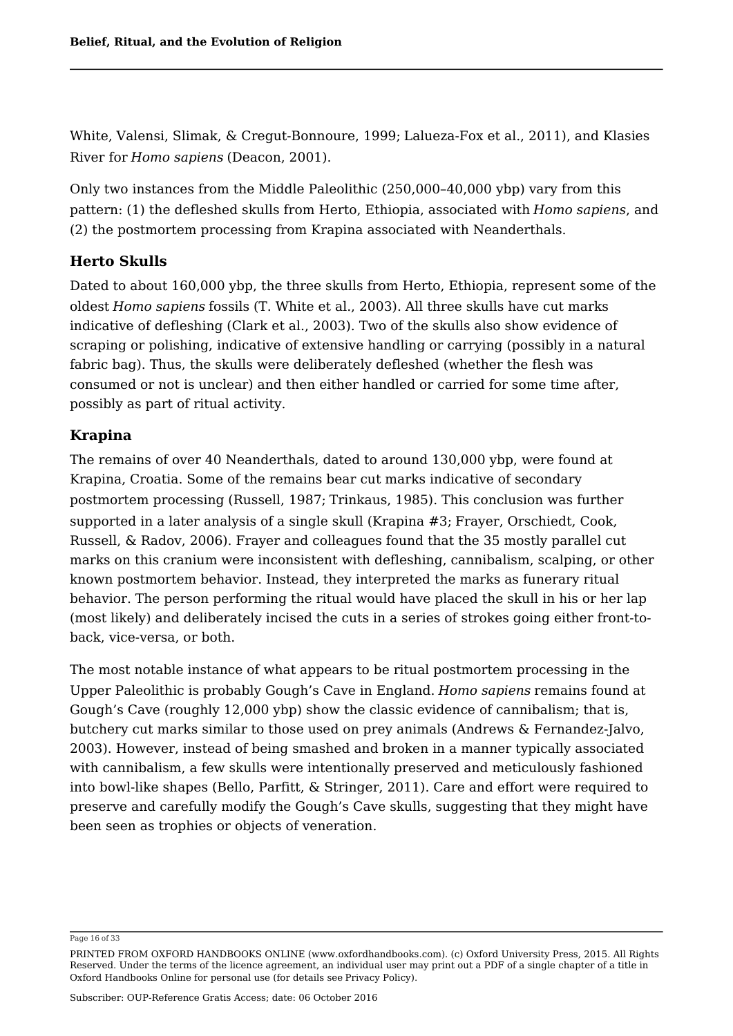White, Valensi, Slimak, & Cregut-Bonnoure, 1999; Lalueza-Fox et al., 2011), and Klasies River for *Homo sapiens* (Deacon, 2001).

Only two instances from the Middle Paleolithic (250,000–40,000 ybp) vary from this pattern: (1) the defleshed skulls from Herto, Ethiopia, associated with *Homo sapiens*, and (2) the postmortem processing from Krapina associated with Neanderthals.

### **Herto Skulls**

Dated to about 160,000 ybp, the three skulls from Herto, Ethiopia, represent some of the oldest *Homo sapiens* fossils (T. White et al., 2003). All three skulls have cut marks indicative of defleshing (Clark et al., 2003). Two of the skulls also show evidence of scraping or polishing, indicative of extensive handling or carrying (possibly in a natural fabric bag). Thus, the skulls were deliberately defleshed (whether the flesh was consumed or not is unclear) and then either handled or carried for some time after, possibly as part of ritual activity.

### **Krapina**

The remains of over 40 Neanderthals, dated to around 130,000 ybp, were found at Krapina, Croatia. Some of the remains bear cut marks indicative of secondary postmortem processing (Russell, 1987; Trinkaus, 1985). This conclusion was further supported in a later analysis of a single skull (Krapina #3; Frayer, Orschiedt, Cook, Russell, & Radov, 2006). Frayer and colleagues found that the 35 mostly parallel cut marks on this cranium were inconsistent with defleshing, cannibalism, scalping, or other known postmortem behavior. Instead, they interpreted the marks as funerary ritual behavior. The person performing the ritual would have placed the skull in his or her lap (most likely) and deliberately incised the cuts in a series of strokes going either front-toback, vice-versa, or both.

The most notable instance of what appears to be ritual postmortem processing in the Upper Paleolithic is probably Gough's Cave in England. *Homo sapiens* remains found at Gough's Cave (roughly 12,000 ybp) show the classic evidence of cannibalism; that is, butchery cut marks similar to those used on prey animals (Andrews & Fernandez-Jalvo, 2003). However, instead of being smashed and broken in a manner typically associated with cannibalism, a few skulls were intentionally preserved and meticulously fashioned into bowl-like shapes (Bello, Parfitt, & Stringer, 2011). Care and effort were required to preserve and carefully modify the Gough's Cave skulls, suggesting that they might have been seen as trophies or objects of veneration.

Page 16 of 33

PRINTED FROM OXFORD HANDBOOKS ONLINE (www.oxfordhandbooks.com). (c) Oxford University Press, 2015. All Rights Reserved. Under the terms of the licence agreement, an individual user may print out a PDF of a single chapter of a title in Oxford Handbooks Online for personal use (for details see Privacy Policy).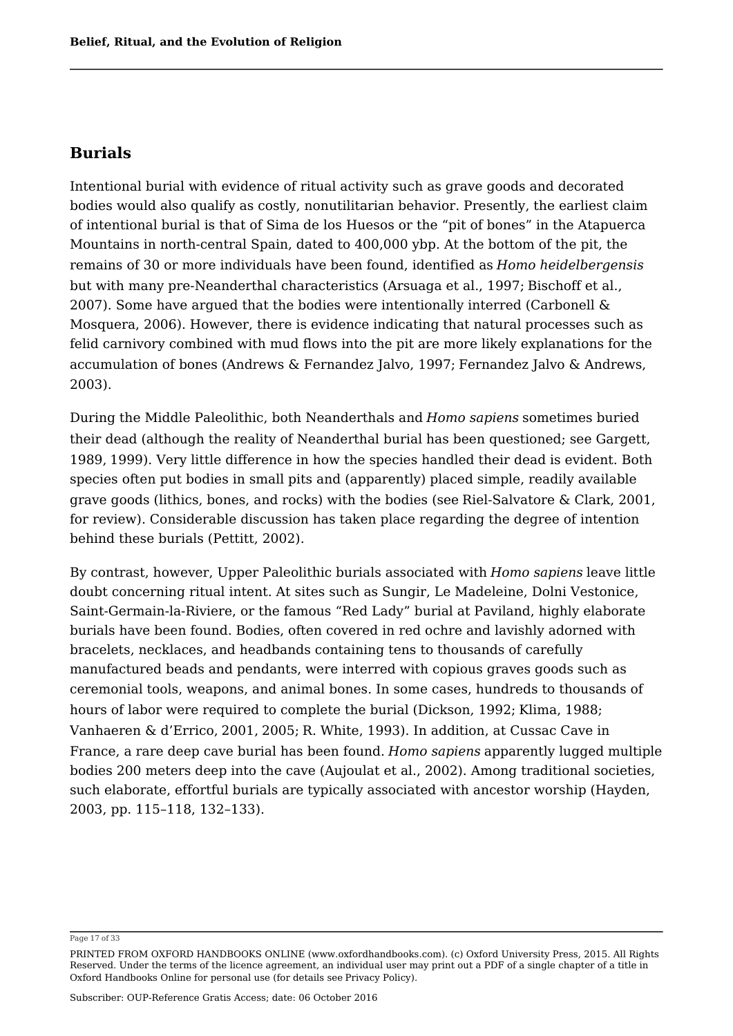### **Burials**

Intentional burial with evidence of ritual activity such as grave goods and decorated bodies would also qualify as costly, nonutilitarian behavior. Presently, the earliest claim of intentional burial is that of Sima de los Huesos or the "pit of bones" in the Atapuerca Mountains in north-central Spain, dated to 400,000 ybp. At the bottom of the pit, the remains of 30 or more individuals have been found, identified as *Homo heidelbergensis* but with many pre-Neanderthal characteristics (Arsuaga et al., 1997; Bischoff et al., 2007). Some have argued that the bodies were intentionally interred (Carbonell & Mosquera, 2006). However, there is evidence indicating that natural processes such as felid carnivory combined with mud flows into the pit are more likely explanations for the accumulation of bones (Andrews & Fernandez Jalvo, 1997; Fernandez Jalvo & Andrews, 2003).

During the Middle Paleolithic, both Neanderthals and *Homo sapiens* sometimes buried their dead (although the reality of Neanderthal burial has been questioned; see Gargett, 1989, 1999). Very little difference in how the species handled their dead is evident. Both species often put bodies in small pits and (apparently) placed simple, readily available grave goods (lithics, bones, and rocks) with the bodies (see Riel-Salvatore & Clark, 2001, for review). Considerable discussion has taken place regarding the degree of intention behind these burials (Pettitt, 2002).

By contrast, however, Upper Paleolithic burials associated with *Homo sapiens* leave little doubt concerning ritual intent. At sites such as Sungir, Le Madeleine, Dolni Vestonice, Saint-Germain-la-Riviere, or the famous "Red Lady" burial at Paviland, highly elaborate burials have been found. Bodies, often covered in red ochre and lavishly adorned with bracelets, necklaces, and headbands containing tens to thousands of carefully manufactured beads and pendants, were interred with copious graves goods such as ceremonial tools, weapons, and animal bones. In some cases, hundreds to thousands of hours of labor were required to complete the burial (Dickson, 1992; Klima, 1988; Vanhaeren & d'Errico, 2001, 2005; R. White, 1993). In addition, at Cussac Cave in France, a rare deep cave burial has been found. *Homo sapiens* apparently lugged multiple bodies 200 meters deep into the cave (Aujoulat et al., 2002). Among traditional societies, such elaborate, effortful burials are typically associated with ancestor worship (Hayden, 2003, pp. 115–118, 132–133).

#### Page 17 of 33

PRINTED FROM OXFORD HANDBOOKS ONLINE (www.oxfordhandbooks.com). (c) Oxford University Press, 2015. All Rights Reserved. Under the terms of the licence agreement, an individual user may print out a PDF of a single chapter of a title in Oxford Handbooks Online for personal use (for details see Privacy Policy).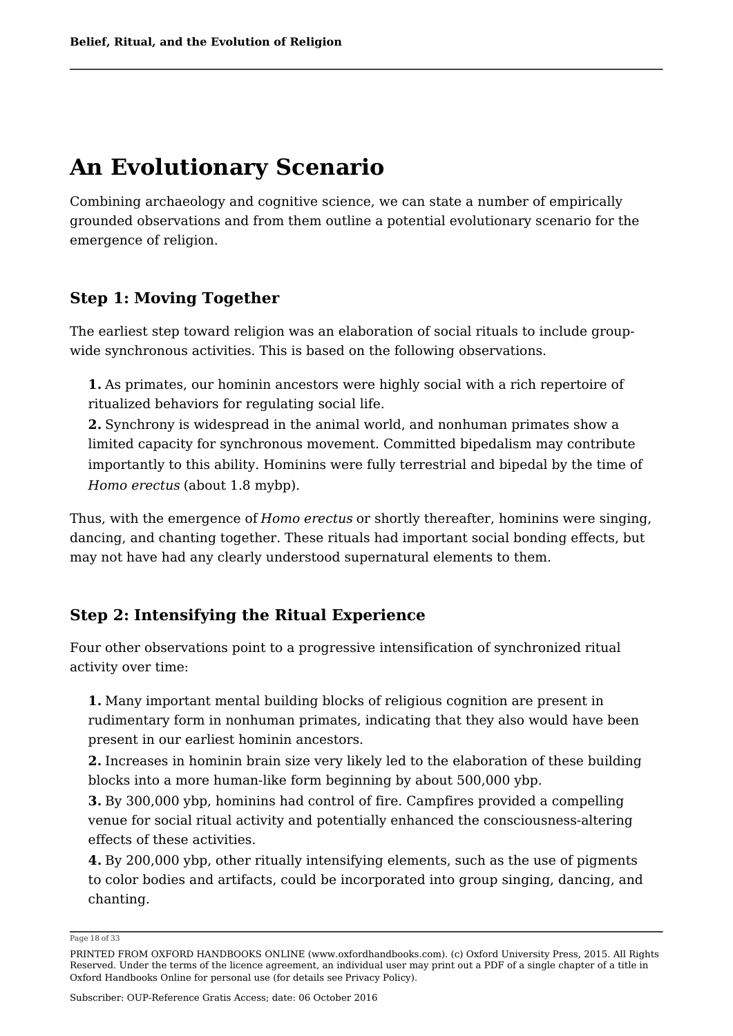# **An Evolutionary Scenario**

Combining archaeology and cognitive science, we can state a number of empirically grounded observations and from them outline a potential evolutionary scenario for the emergence of religion.

### **Step 1: Moving Together**

The earliest step toward religion was an elaboration of social rituals to include groupwide synchronous activities. This is based on the following observations.

**1.** As primates, our hominin ancestors were highly social with a rich repertoire of ritualized behaviors for regulating social life.

**2.** Synchrony is widespread in the animal world, and nonhuman primates show a limited capacity for synchronous movement. Committed bipedalism may contribute importantly to this ability. Hominins were fully terrestrial and bipedal by the time of *Homo erectus* (about 1.8 mybp).

Thus, with the emergence of *Homo erectus* or shortly thereafter, hominins were singing, dancing, and chanting together. These rituals had important social bonding effects, but may not have had any clearly understood supernatural elements to them.

# **Step 2: Intensifying the Ritual Experience**

Four other observations point to a progressive intensification of synchronized ritual activity over time:

**1.** Many important mental building blocks of religious cognition are present in rudimentary form in nonhuman primates, indicating that they also would have been present in our earliest hominin ancestors.

**2.** Increases in hominin brain size very likely led to the elaboration of these building blocks into a more human-like form beginning by about 500,000 ybp.

**3.** By 300,000 ybp, hominins had control of fire. Campfires provided a compelling venue for social ritual activity and potentially enhanced the consciousness-altering effects of these activities.

**4.** By 200,000 ybp, other ritually intensifying elements, such as the use of pigments to color bodies and artifacts, could be incorporated into group singing, dancing, and chanting.

Page 18 of 33

PRINTED FROM OXFORD HANDBOOKS ONLINE (www.oxfordhandbooks.com). (c) Oxford University Press, 2015. All Rights Reserved. Under the terms of the licence agreement, an individual user may print out a PDF of a single chapter of a title in Oxford Handbooks Online for personal use (for details see Privacy Policy).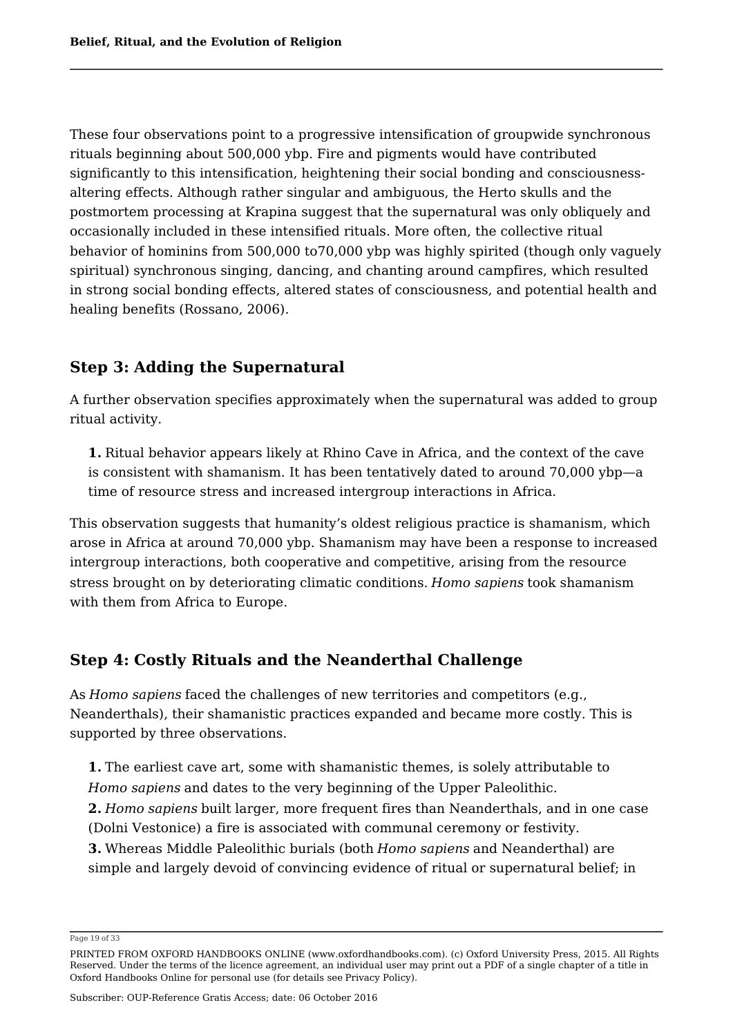These four observations point to a progressive intensification of groupwide synchronous rituals beginning about 500,000 ybp. Fire and pigments would have contributed significantly to this intensification, heightening their social bonding and consciousnessaltering effects. Although rather singular and ambiguous, the Herto skulls and the postmortem processing at Krapina suggest that the supernatural was only obliquely and occasionally included in these intensified rituals. More often, the collective ritual behavior of hominins from 500,000 to70,000 ybp was highly spirited (though only vaguely spiritual) synchronous singing, dancing, and chanting around campfires, which resulted in strong social bonding effects, altered states of consciousness, and potential health and healing benefits (Rossano, 2006).

### **Step 3: Adding the Supernatural**

A further observation specifies approximately when the supernatural was added to group ritual activity.

**1.** Ritual behavior appears likely at Rhino Cave in Africa, and the context of the cave is consistent with shamanism. It has been tentatively dated to around 70,000 ybp—a time of resource stress and increased intergroup interactions in Africa.

This observation suggests that humanity's oldest religious practice is shamanism, which arose in Africa at around 70,000 ybp. Shamanism may have been a response to increased intergroup interactions, both cooperative and competitive, arising from the resource stress brought on by deteriorating climatic conditions. *Homo sapiens* took shamanism with them from Africa to Europe.

### **Step 4: Costly Rituals and the Neanderthal Challenge**

As *Homo sapiens* faced the challenges of new territories and competitors (e.g., Neanderthals), their shamanistic practices expanded and became more costly. This is supported by three observations.

**1.** The earliest cave art, some with shamanistic themes, is solely attributable to *Homo sapiens* and dates to the very beginning of the Upper Paleolithic.

**2.** *Homo sapiens* built larger, more frequent fires than Neanderthals, and in one case (Dolni Vestonice) a fire is associated with communal ceremony or festivity.

**3.** Whereas Middle Paleolithic burials (both *Homo sapiens* and Neanderthal) are simple and largely devoid of convincing evidence of ritual or supernatural belief; in

Page 19 of 33

PRINTED FROM OXFORD HANDBOOKS ONLINE (www.oxfordhandbooks.com). (c) Oxford University Press, 2015. All Rights Reserved. Under the terms of the licence agreement, an individual user may print out a PDF of a single chapter of a title in Oxford Handbooks Online for personal use (for details see Privacy Policy).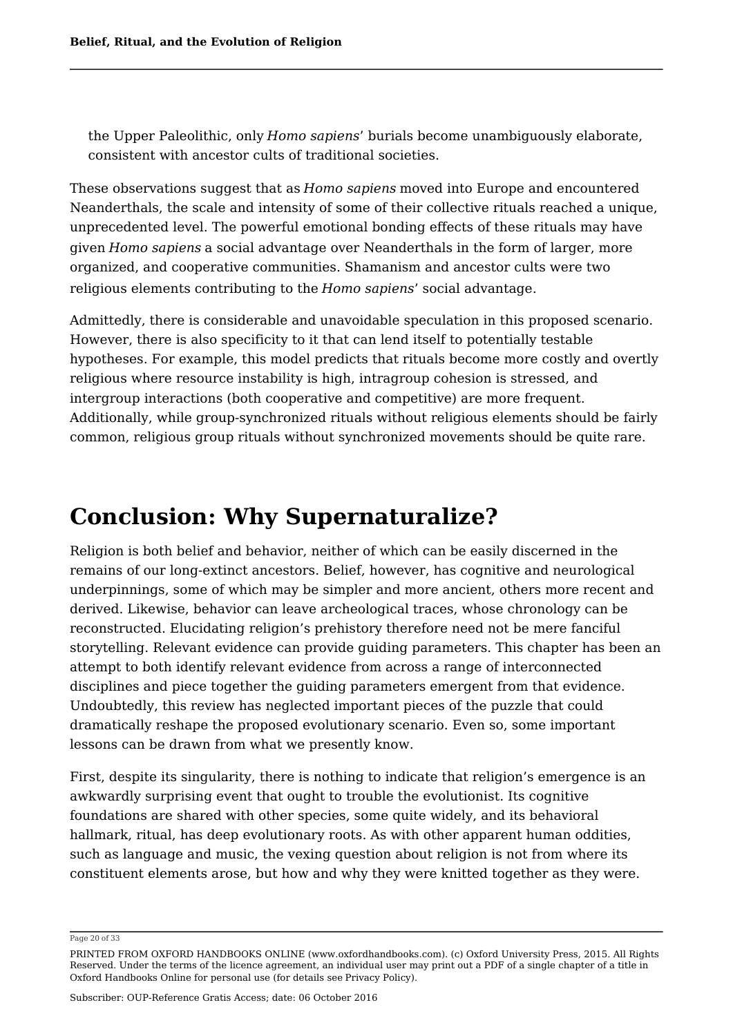the Upper Paleolithic, only *Homo sapiens*' burials become unambiguously elaborate, consistent with ancestor cults of traditional societies.

These observations suggest that as *Homo sapiens* moved into Europe and encountered Neanderthals, the scale and intensity of some of their collective rituals reached a unique, unprecedented level. The powerful emotional bonding effects of these rituals may have given *Homo sapiens* a social advantage over Neanderthals in the form of larger, more organized, and cooperative communities. Shamanism and ancestor cults were two religious elements contributing to the *Homo sapiens*' social advantage.

Admittedly, there is considerable and unavoidable speculation in this proposed scenario. However, there is also specificity to it that can lend itself to potentially testable hypotheses. For example, this model predicts that rituals become more costly and overtly religious where resource instability is high, intragroup cohesion is stressed, and intergroup interactions (both cooperative and competitive) are more frequent. Additionally, while group-synchronized rituals without religious elements should be fairly common, religious group rituals without synchronized movements should be quite rare.

# **Conclusion: Why Supernaturalize?**

Religion is both belief and behavior, neither of which can be easily discerned in the remains of our long-extinct ancestors. Belief, however, has cognitive and neurological underpinnings, some of which may be simpler and more ancient, others more recent and derived. Likewise, behavior can leave archeological traces, whose chronology can be reconstructed. Elucidating religion's prehistory therefore need not be mere fanciful storytelling. Relevant evidence can provide guiding parameters. This chapter has been an attempt to both identify relevant evidence from across a range of interconnected disciplines and piece together the guiding parameters emergent from that evidence. Undoubtedly, this review has neglected important pieces of the puzzle that could dramatically reshape the proposed evolutionary scenario. Even so, some important lessons can be drawn from what we presently know.

First, despite its singularity, there is nothing to indicate that religion's emergence is an awkwardly surprising event that ought to trouble the evolutionist. Its cognitive foundations are shared with other species, some quite widely, and its behavioral hallmark, ritual, has deep evolutionary roots. As with other apparent human oddities, such as language and music, the vexing question about religion is not from where its constituent elements arose, but how and why they were knitted together as they were.

Page 20 of 33

PRINTED FROM OXFORD HANDBOOKS ONLINE (www.oxfordhandbooks.com). (c) Oxford University Press, 2015. All Rights Reserved. Under the terms of the licence agreement, an individual user may print out a PDF of a single chapter of a title in Oxford Handbooks Online for personal use (for details see Privacy Policy).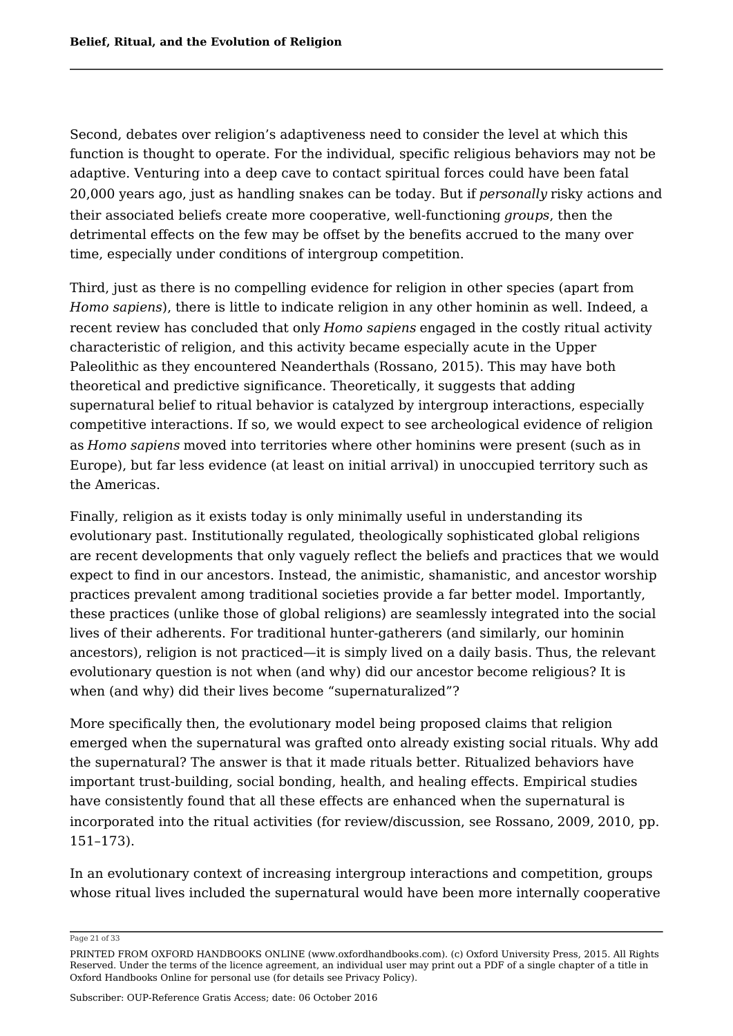Second, debates over religion's adaptiveness need to consider the level at which this function is thought to operate. For the individual, specific religious behaviors may not be adaptive. Venturing into a deep cave to contact spiritual forces could have been fatal 20,000 years ago, just as handling snakes can be today. But if *personally* risky actions and their associated beliefs create more cooperative, well-functioning *groups*, then the detrimental effects on the few may be offset by the benefits accrued to the many over time, especially under conditions of intergroup competition.

Third, just as there is no compelling evidence for religion in other species (apart from *Homo sapiens*), there is little to indicate religion in any other hominin as well. Indeed, a recent review has concluded that only *Homo sapiens* engaged in the costly ritual activity characteristic of religion, and this activity became especially acute in the Upper Paleolithic as they encountered Neanderthals (Rossano, 2015). This may have both theoretical and predictive significance. Theoretically, it suggests that adding supernatural belief to ritual behavior is catalyzed by intergroup interactions, especially competitive interactions. If so, we would expect to see archeological evidence of religion as *Homo sapiens* moved into territories where other hominins were present (such as in Europe), but far less evidence (at least on initial arrival) in unoccupied territory such as the Americas.

Finally, religion as it exists today is only minimally useful in understanding its evolutionary past. Institutionally regulated, theologically sophisticated global religions are recent developments that only vaguely reflect the beliefs and practices that we would expect to find in our ancestors. Instead, the animistic, shamanistic, and ancestor worship practices prevalent among traditional societies provide a far better model. Importantly, these practices (unlike those of global religions) are seamlessly integrated into the social lives of their adherents. For traditional hunter-gatherers (and similarly, our hominin ancestors), religion is not practiced—it is simply lived on a daily basis. Thus, the relevant evolutionary question is not when (and why) did our ancestor become religious? It is when (and why) did their lives become "supernaturalized"?

More specifically then, the evolutionary model being proposed claims that religion emerged when the supernatural was grafted onto already existing social rituals. Why add the supernatural? The answer is that it made rituals better. Ritualized behaviors have important trust-building, social bonding, health, and healing effects. Empirical studies have consistently found that all these effects are enhanced when the supernatural is incorporated into the ritual activities (for review/discussion, see Rossano, 2009, 2010, pp. 151–173).

In an evolutionary context of increasing intergroup interactions and competition, groups whose ritual lives included the supernatural would have been more internally cooperative

Page 21 of 33

PRINTED FROM OXFORD HANDBOOKS ONLINE (www.oxfordhandbooks.com). (c) Oxford University Press, 2015. All Rights Reserved. Under the terms of the licence agreement, an individual user may print out a PDF of a single chapter of a title in Oxford Handbooks Online for personal use (for details see Privacy Policy).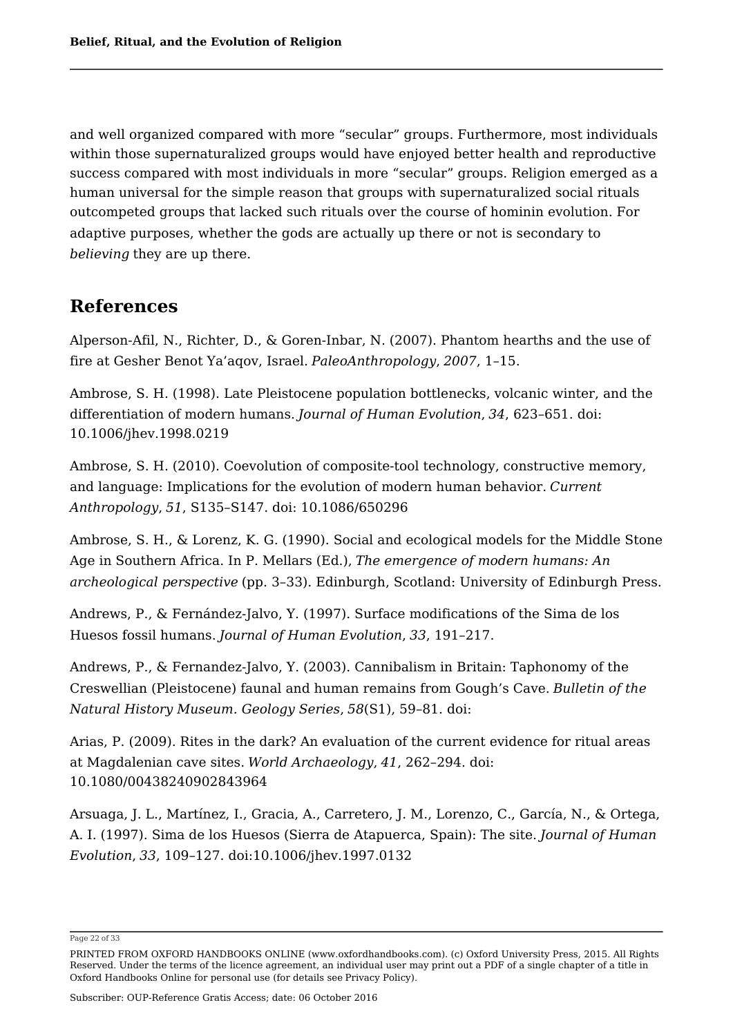and well organized compared with more "secular" groups. Furthermore, most individuals within those supernaturalized groups would have enjoyed better health and reproductive success compared with most individuals in more "secular" groups. Religion emerged as a human universal for the simple reason that groups with supernaturalized social rituals outcompeted groups that lacked such rituals over the course of hominin evolution. For adaptive purposes, whether the gods are actually up there or not is secondary to *believing* they are up there.

# **References**

Alperson-Afil, N., Richter, D., & Goren-Inbar, N. (2007). Phantom hearths and the use of fire at Gesher Benot Ya'aqov, Israel. *PaleoAnthropology*, *2007*, 1–15.

Ambrose, S. H. (1998). Late Pleistocene population bottlenecks, volcanic winter, and the differentiation of modern humans. *Journal of Human Evolution*, *34*, 623–651. doi: 10.1006/jhev.1998.0219

Ambrose, S. H. (2010). Coevolution of composite-tool technology, constructive memory, and language: Implications for the evolution of modern human behavior. *Current Anthropology*, *51*, S135–S147. doi: 10.1086/650296

Ambrose, S. H., & Lorenz, K. G. (1990). Social and ecological models for the Middle Stone Age in Southern Africa. In P. Mellars (Ed.), *The emergence of modern humans: An archeological perspective* (pp. 3–33). Edinburgh, Scotland: University of Edinburgh Press.

Andrews, P., & Fernández-Jalvo, Y. (1997). Surface modifications of the Sima de los Huesos fossil humans. *Journal of Human Evolution*, *33*, 191–217.

Andrews, P., & Fernandez-Jalvo, Y. (2003). Cannibalism in Britain: Taphonomy of the Creswellian (Pleistocene) faunal and human remains from Gough's Cave. *Bulletin of the Natural History Museum. Geology Series*, *58*(S1), 59–81. doi:

Arias, P. (2009). Rites in the dark? An evaluation of the current evidence for ritual areas at Magdalenian cave sites. *World Archaeology*, *41*, 262–294. doi: 10.1080/00438240902843964

Arsuaga, J. L., Martínez, I., Gracia, A., Carretero, J. M., Lorenzo, C., García, N., & Ortega, A. I. (1997). Sima de los Huesos (Sierra de Atapuerca, Spain): The site. *Journal of Human Evolution*, *33*, 109–127. doi:10.1006/jhev.1997.0132

Page 22 of 33

PRINTED FROM OXFORD HANDBOOKS ONLINE (www.oxfordhandbooks.com). (c) Oxford University Press, 2015. All Rights Reserved. Under the terms of the licence agreement, an individual user may print out a PDF of a single chapter of a title in Oxford Handbooks Online for personal use (for details see Privacy Policy).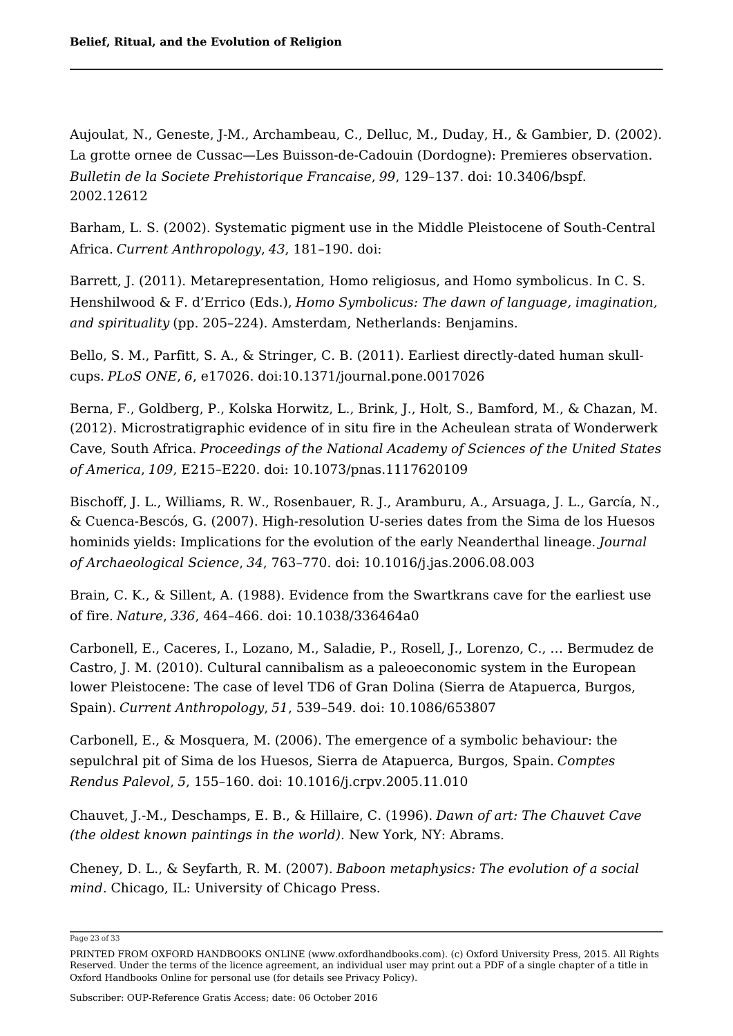Aujoulat, N., Geneste, J-M., Archambeau, C., Delluc, M., Duday, H., & Gambier, D. (2002). La grotte ornee de Cussac—Les Buisson-de-Cadouin (Dordogne): Premieres observation. *Bulletin de la Societe Prehistorique Francaise*, *99*, 129–137. doi: 10.3406/bspf. 2002.12612

Barham, L. S. (2002). Systematic pigment use in the Middle Pleistocene of South-Central Africa. *Current Anthropology*, *43*, 181–190. doi:

Barrett, J. (2011). Metarepresentation, Homo religiosus, and Homo symbolicus. In C. S. Henshilwood & F. d'Errico (Eds.), *Homo Symbolicus: The dawn of language, imagination, and spirituality* (pp. 205–224). Amsterdam, Netherlands: Benjamins.

Bello, S. M., Parfitt, S. A., & Stringer, C. B. (2011). Earliest directly-dated human skullcups. *PLoS ONE*, *6*, e17026. doi:10.1371/journal.pone.0017026

Berna, F., Goldberg, P., Kolska Horwitz, L., Brink, J., Holt, S., Bamford, M., & Chazan, M. (2012). Microstratigraphic evidence of in situ fire in the Acheulean strata of Wonderwerk Cave, South Africa. *Proceedings of the National Academy of Sciences of the United States of America*, *109*, E215–E220. doi: 10.1073/pnas.1117620109

Bischoff, J. L., Williams, R. W., Rosenbauer, R. J., Aramburu, A., Arsuaga, J. L., García, N., & Cuenca-Bescós, G. (2007). High-resolution U-series dates from the Sima de los Huesos hominids yields: Implications for the evolution of the early Neanderthal lineage. *Journal of Archaeological Science*, *34*, 763–770. doi: 10.1016/j.jas.2006.08.003

Brain, C. K., & Sillent, A. (1988). Evidence from the Swartkrans cave for the earliest use of fire. *Nature*, *336*, 464–466. doi: 10.1038/336464a0

Carbonell, E., Caceres, I., Lozano, M., Saladie, P., Rosell, J., Lorenzo, C., … Bermudez de Castro, J. M. (2010). Cultural cannibalism as a paleoeconomic system in the European lower Pleistocene: The case of level TD6 of Gran Dolina (Sierra de Atapuerca, Burgos, Spain). *Current Anthropology*, *51*, 539–549. doi: 10.1086/653807

Carbonell, E., & Mosquera, M. (2006). The emergence of a symbolic behaviour: the sepulchral pit of Sima de los Huesos, Sierra de Atapuerca, Burgos, Spain. *Comptes Rendus Palevol*, *5*, 155–160. doi: 10.1016/j.crpv.2005.11.010

Chauvet, J.-M., Deschamps, E. B., & Hillaire, C. (1996). *Dawn of art: The Chauvet Cave (the oldest known paintings in the world)*. New York, NY: Abrams.

Cheney, D. L., & Seyfarth, R. M. (2007). *Baboon metaphysics: The evolution of a social mind*. Chicago, IL: University of Chicago Press.

Page 23 of 33

PRINTED FROM OXFORD HANDBOOKS ONLINE (www.oxfordhandbooks.com). (c) Oxford University Press, 2015. All Rights Reserved. Under the terms of the licence agreement, an individual user may print out a PDF of a single chapter of a title in Oxford Handbooks Online for personal use (for details see Privacy Policy).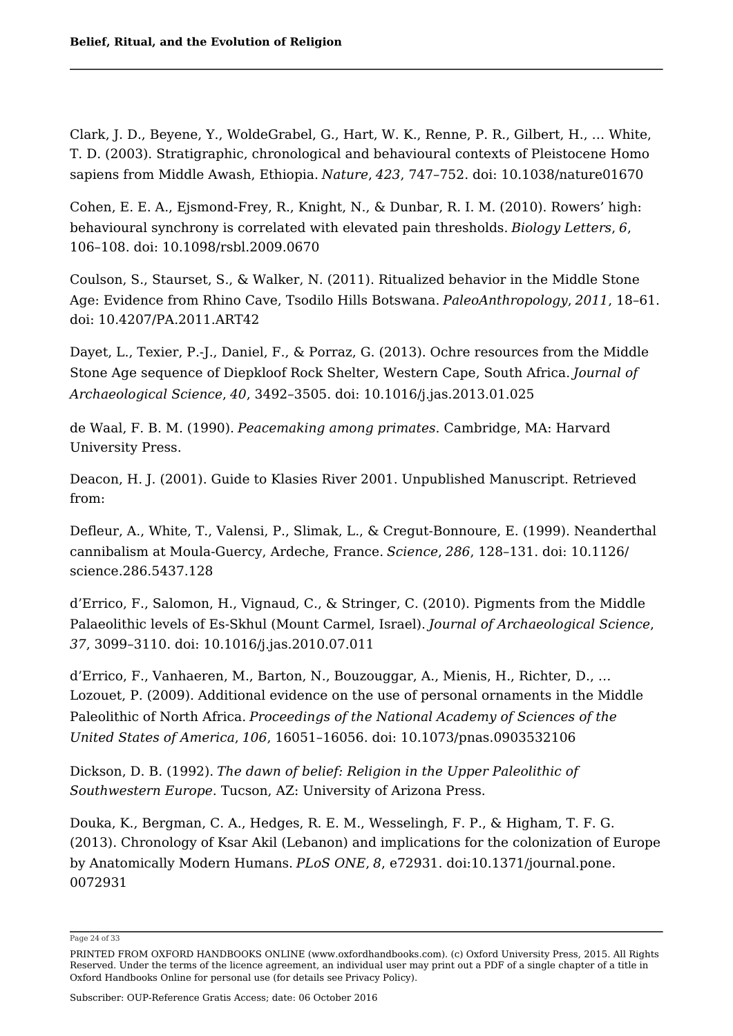Clark, J. D., Beyene, Y., WoldeGrabel, G., Hart, W. K., Renne, P. R., Gilbert, H., … White, T. D. (2003). Stratigraphic, chronological and behavioural contexts of Pleistocene Homo sapiens from Middle Awash, Ethiopia. *Nature*, *423*, 747–752. doi: 10.1038/nature01670

Cohen, E. E. A., Ejsmond-Frey, R., Knight, N., & Dunbar, R. I. M. (2010). Rowers' high: behavioural synchrony is correlated with elevated pain thresholds. *Biology Letters*, *6*, 106–108. doi: 10.1098/rsbl.2009.0670

Coulson, S., Staurset, S., & Walker, N. (2011). Ritualized behavior in the Middle Stone Age: Evidence from Rhino Cave, Tsodilo Hills Botswana. *PaleoAnthropology*, *2011*, 18–61. doi: 10.4207/PA.2011.ART42

Dayet, L., Texier, P.-J., Daniel, F., & Porraz, G. (2013). Ochre resources from the Middle Stone Age sequence of Diepkloof Rock Shelter, Western Cape, South Africa. *Journal of Archaeological Science*, *40*, 3492–3505. doi: 10.1016/j.jas.2013.01.025

de Waal, F. B. M. (1990). *Peacemaking among primates*. Cambridge, MA: Harvard University Press.

Deacon, H. J. (2001). Guide to Klasies River 2001. Unpublished Manuscript. Retrieved from:

Defleur, A., White, T., Valensi, P., Slimak, L., & Cregut-Bonnoure, E. (1999). Neanderthal cannibalism at Moula-Guercy, Ardeche, France. *Science*, *286*, 128–131. doi: 10.1126/ science.286.5437.128

d'Errico, F., Salomon, H., Vignaud, C., & Stringer, C. (2010). Pigments from the Middle Palaeolithic levels of Es-Skhul (Mount Carmel, Israel). *Journal of Archaeological Science*, *37*, 3099–3110. doi: 10.1016/j.jas.2010.07.011

d'Errico, F., Vanhaeren, M., Barton, N., Bouzouggar, A., Mienis, H., Richter, D., … Lozouet, P. (2009). Additional evidence on the use of personal ornaments in the Middle Paleolithic of North Africa. *Proceedings of the National Academy of Sciences of the United States of America*, *106*, 16051–16056. doi: 10.1073/pnas.0903532106

Dickson, D. B. (1992). *The dawn of belief: Religion in the Upper Paleolithic of Southwestern Europe*. Tucson, AZ: University of Arizona Press.

Douka, K., Bergman, C. A., Hedges, R. E. M., Wesselingh, F. P., & Higham, T. F. G. (2013). Chronology of Ksar Akil (Lebanon) and implications for the colonization of Europe by Anatomically Modern Humans. *PLoS ONE*, *8*, e72931. doi:10.1371/journal.pone. 0072931

Page 24 of 33

PRINTED FROM OXFORD HANDBOOKS ONLINE (www.oxfordhandbooks.com). (c) Oxford University Press, 2015. All Rights Reserved. Under the terms of the licence agreement, an individual user may print out a PDF of a single chapter of a title in Oxford Handbooks Online for personal use (for details see Privacy Policy).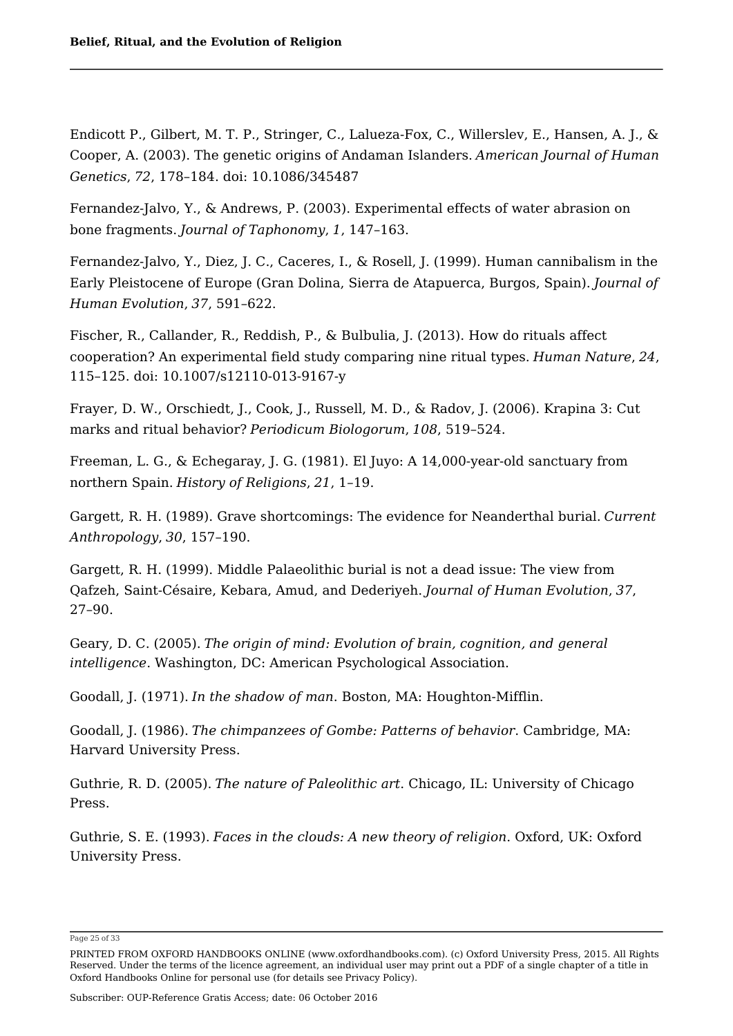Endicott P., Gilbert, M. T. P., Stringer, C., Lalueza-Fox, C., Willerslev, E., Hansen, A. J., & Cooper, A. (2003). The genetic origins of Andaman Islanders. *American Journal of Human Genetics*, *72*, 178–184. doi: 10.1086/345487

Fernandez-Jalvo, Y., & Andrews, P. (2003). Experimental effects of water abrasion on bone fragments. *Journal of Taphonomy*, *1*, 147–163.

Fernandez-Jalvo, Y., Diez, J. C., Caceres, I., & Rosell, J. (1999). Human cannibalism in the Early Pleistocene of Europe (Gran Dolina, Sierra de Atapuerca, Burgos, Spain). *Journal of Human Evolution*, *37*, 591–622.

Fischer, R., Callander, R., Reddish, P., & Bulbulia, J. (2013). How do rituals affect cooperation? An experimental field study comparing nine ritual types. *Human Nature*, *24*, 115–125. doi: 10.1007/s12110-013-9167-y

Frayer, D. W., Orschiedt, J., Cook, J., Russell, M. D., & Radov, J. (2006). Krapina 3: Cut marks and ritual behavior? *Periodicum Biologorum*, *108*, 519–524.

Freeman, L. G., & Echegaray, J. G. (1981). El Juyo: A 14,000-year-old sanctuary from northern Spain. *History of Religions*, *21*, 1–19.

Gargett, R. H. (1989). Grave shortcomings: The evidence for Neanderthal burial. *Current Anthropology*, *30*, 157–190.

Gargett, R. H. (1999). Middle Palaeolithic burial is not a dead issue: The view from Qafzeh, Saint-Césaire, Kebara, Amud, and Dederiyeh. *Journal of Human Evolution*, *37*, 27–90.

Geary, D. C. (2005). *The origin of mind: Evolution of brain, cognition, and general intelligence*. Washington, DC: American Psychological Association.

Goodall, J. (1971). *In the shadow of man*. Boston, MA: Houghton-Mifflin.

Goodall, J. (1986). *The chimpanzees of Gombe: Patterns of behavior*. Cambridge, MA: Harvard University Press.

Guthrie, R. D. (2005). *The nature of Paleolithic art*. Chicago, IL: University of Chicago Press.

Guthrie, S. E. (1993). *Faces in the clouds: A new theory of religion*. Oxford, UK: Oxford University Press.

Page 25 of 33

PRINTED FROM OXFORD HANDBOOKS ONLINE (www.oxfordhandbooks.com). (c) Oxford University Press, 2015. All Rights Reserved. Under the terms of the licence agreement, an individual user may print out a PDF of a single chapter of a title in Oxford Handbooks Online for personal use (for details see Privacy Policy).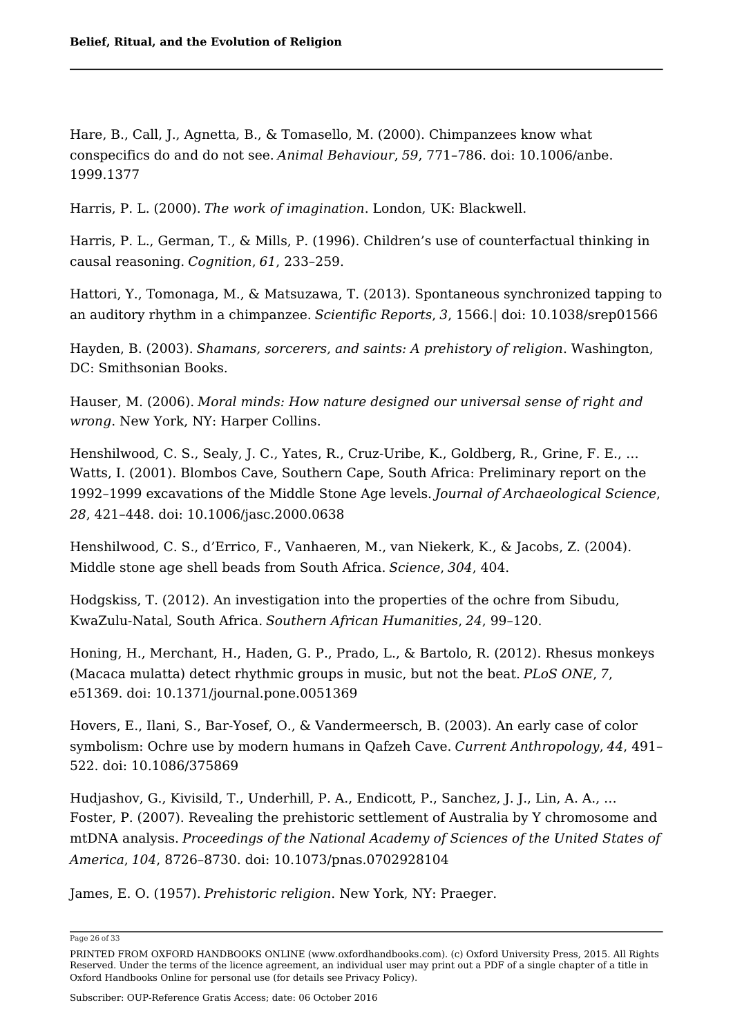Hare, B., Call, J., Agnetta, B., & Tomasello, M. (2000). Chimpanzees know what conspecifics do and do not see. *Animal Behaviour*, *59*, 771–786. doi: 10.1006/anbe. 1999.1377

Harris, P. L. (2000). *The work of imagination*. London, UK: Blackwell.

Harris, P. L., German, T., & Mills, P. (1996). Children's use of counterfactual thinking in causal reasoning. *Cognition*, *61*, 233–259.

Hattori, Y., Tomonaga, M., & Matsuzawa, T. (2013). Spontaneous synchronized tapping to an auditory rhythm in a chimpanzee. *Scientific Reports*, *3*, 1566.| doi: 10.1038/srep01566

Hayden, B. (2003). *Shamans, sorcerers, and saints: A prehistory of religion*. Washington, DC: Smithsonian Books.

Hauser, M. (2006). *Moral minds: How nature designed our universal sense of right and wrong*. New York, NY: Harper Collins.

Henshilwood, C. S., Sealy, J. C., Yates, R., Cruz-Uribe, K., Goldberg, R., Grine, F. E., … Watts, I. (2001). Blombos Cave, Southern Cape, South Africa: Preliminary report on the 1992–1999 excavations of the Middle Stone Age levels. *Journal of Archaeological Science*, *28*, 421–448. doi: 10.1006/jasc.2000.0638

Henshilwood, C. S., d'Errico, F., Vanhaeren, M., van Niekerk, K., & Jacobs, Z. (2004). Middle stone age shell beads from South Africa. *Science*, *304*, 404.

Hodgskiss, T. (2012). An investigation into the properties of the ochre from Sibudu, KwaZulu-Natal, South Africa. *Southern African Humanities*, *24*, 99–120.

Honing, H., Merchant, H., Haden, G. P., Prado, L., & Bartolo, R. (2012). Rhesus monkeys (Macaca mulatta) detect rhythmic groups in music, but not the beat. *PLoS ONE*, *7*, e51369. doi: 10.1371/journal.pone.0051369

Hovers, E., Ilani, S., Bar-Yosef, O., & Vandermeersch, B. (2003). An early case of color symbolism: Ochre use by modern humans in Qafzeh Cave. *Current Anthropology*, *44*, 491– 522. doi: 10.1086/375869

Hudjashov, G., Kivisild, T., Underhill, P. A., Endicott, P., Sanchez, J. J., Lin, A. A., … Foster, P. (2007). Revealing the prehistoric settlement of Australia by Y chromosome and mtDNA analysis. *Proceedings of the National Academy of Sciences of the United States of America*, *104*, 8726–8730. doi: 10.1073/pnas.0702928104

James, E. O. (1957). *Prehistoric religion*. New York, NY: Praeger.

Page 26 of 33

PRINTED FROM OXFORD HANDBOOKS ONLINE (www.oxfordhandbooks.com). (c) Oxford University Press, 2015. All Rights Reserved. Under the terms of the licence agreement, an individual user may print out a PDF of a single chapter of a title in Oxford Handbooks Online for personal use (for details see Privacy Policy).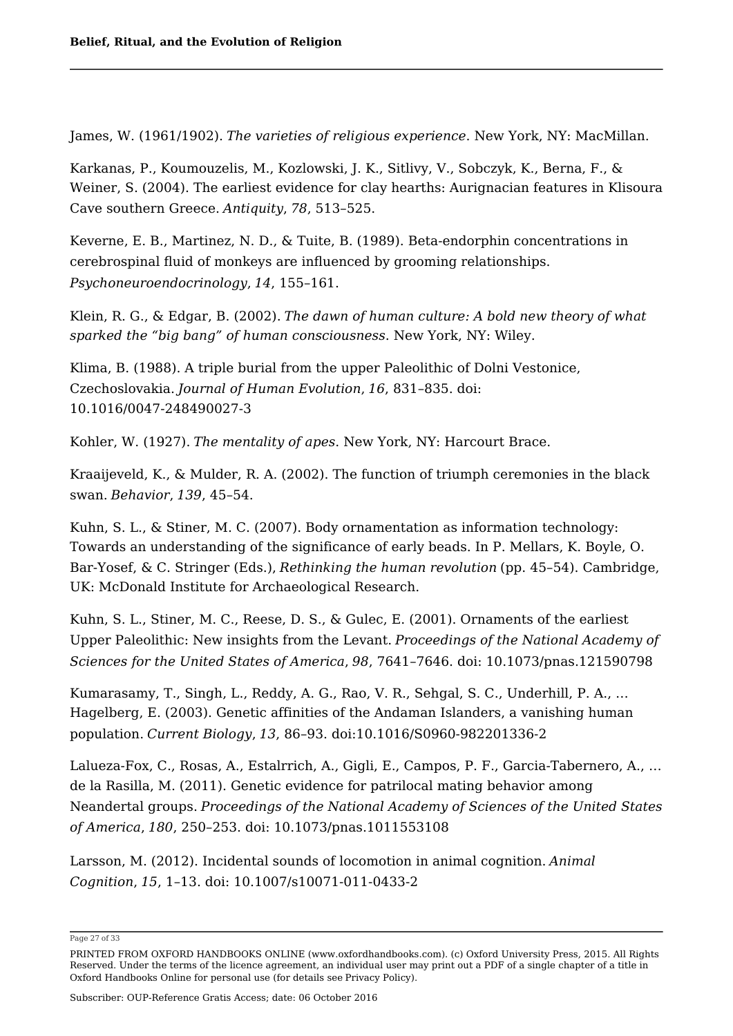James, W. (1961/1902). *The varieties of religious experience*. New York, NY: MacMillan.

Karkanas, P., Koumouzelis, M., Kozlowski, J. K., Sitlivy, V., Sobczyk, K., Berna, F., & Weiner, S. (2004). The earliest evidence for clay hearths: Aurignacian features in Klisoura Cave southern Greece. *Antiquity*, *78*, 513–525.

Keverne, E. B., Martinez, N. D., & Tuite, B. (1989). Beta-endorphin concentrations in cerebrospinal fluid of monkeys are influenced by grooming relationships. *Psychoneuroendocrinology*, *14*, 155–161.

Klein, R. G., & Edgar, B. (2002). *The dawn of human culture: A bold new theory of what sparked the "big bang" of human consciousness*. New York, NY: Wiley.

Klima, B. (1988). A triple burial from the upper Paleolithic of Dolni Vestonice, Czechoslovakia. *Journal of Human Evolution*, *16*, 831–835. doi: 10.1016/0047-248490027-3

Kohler, W. (1927). *The mentality of apes*. New York, NY: Harcourt Brace.

Kraaijeveld, K., & Mulder, R. A. (2002). The function of triumph ceremonies in the black swan. *Behavior*, *139*, 45–54.

Kuhn, S. L., & Stiner, M. C. (2007). Body ornamentation as information technology: Towards an understanding of the significance of early beads. In P. Mellars, K. Boyle, O. Bar-Yosef, & C. Stringer (Eds.), *Rethinking the human revolution* (pp. 45–54). Cambridge, UK: McDonald Institute for Archaeological Research.

Kuhn, S. L., Stiner, M. C., Reese, D. S., & Gulec, E. (2001). Ornaments of the earliest Upper Paleolithic: New insights from the Levant. *Proceedings of the National Academy of Sciences for the United States of America*, *98*, 7641–7646. doi: 10.1073/pnas.121590798

Kumarasamy, T., Singh, L., Reddy, A. G., Rao, V. R., Sehgal, S. C., Underhill, P. A., … Hagelberg, E. (2003). Genetic affinities of the Andaman Islanders, a vanishing human population. *Current Biology*, *13*, 86–93. doi:10.1016/S0960-982201336-2

Lalueza-Fox, C., Rosas, A., Estalrrich, A., Gigli, E., Campos, P. F., Garcia-Tabernero, A., … de la Rasilla, M. (2011). Genetic evidence for patrilocal mating behavior among Neandertal groups. *Proceedings of the National Academy of Sciences of the United States of America*, *180*, 250–253. doi: 10.1073/pnas.1011553108

Larsson, M. (2012). Incidental sounds of locomotion in animal cognition. *Animal Cognition*, *15*, 1–13. doi: 10.1007/s10071-011-0433-2

Page 27 of 33

PRINTED FROM OXFORD HANDBOOKS ONLINE (www.oxfordhandbooks.com). (c) Oxford University Press, 2015. All Rights Reserved. Under the terms of the licence agreement, an individual user may print out a PDF of a single chapter of a title in Oxford Handbooks Online for personal use (for details see Privacy Policy).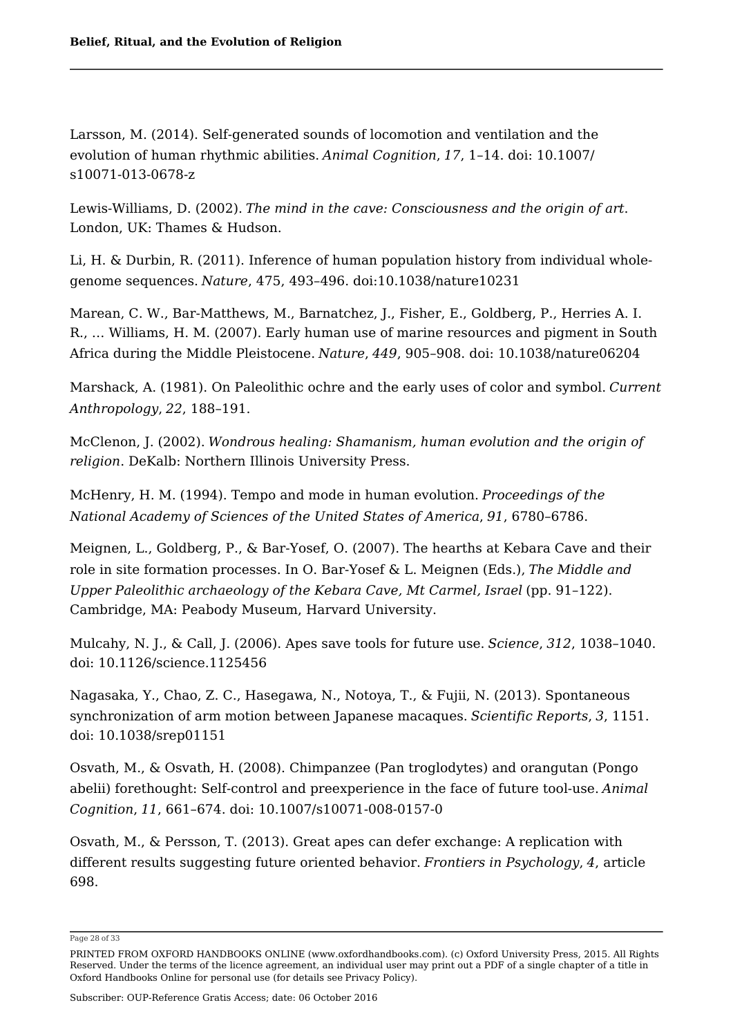Larsson, M. (2014). Self-generated sounds of locomotion and ventilation and the evolution of human rhythmic abilities. *Animal Cognition*, *17*, 1–14. doi: 10.1007/ s10071-013-0678-z

Lewis-Williams, D. (2002). *The mind in the cave: Consciousness and the origin of art*. London, UK: Thames & Hudson.

Li, H. & Durbin, R. (2011). Inference of human population history from individual wholegenome sequences. *Nature*, 475, 493–496. doi:10.1038/nature10231

Marean, C. W., Bar-Matthews, M., Barnatchez, J., Fisher, E., Goldberg, P., Herries A. I. R., … Williams, H. M. (2007). Early human use of marine resources and pigment in South Africa during the Middle Pleistocene. *Nature*, *449*, 905–908. doi: 10.1038/nature06204

Marshack, A. (1981). On Paleolithic ochre and the early uses of color and symbol. *Current Anthropology*, *22*, 188–191.

McClenon, J. (2002). *Wondrous healing: Shamanism, human evolution and the origin of religion*. DeKalb: Northern Illinois University Press.

McHenry, H. M. (1994). Tempo and mode in human evolution. *Proceedings of the National Academy of Sciences of the United States of America*, *91*, 6780–6786.

Meignen, L., Goldberg, P., & Bar-Yosef, O. (2007). The hearths at Kebara Cave and their role in site formation processes. In O. Bar-Yosef & L. Meignen (Eds.), *The Middle and Upper Paleolithic archaeology of the Kebara Cave, Mt Carmel, Israel* (pp. 91–122). Cambridge, MA: Peabody Museum, Harvard University.

Mulcahy, N. J., & Call, J. (2006). Apes save tools for future use. *Science*, *312*, 1038–1040. doi: 10.1126/science.1125456

Nagasaka, Y., Chao, Z. C., Hasegawa, N., Notoya, T., & Fujii, N. (2013). Spontaneous synchronization of arm motion between Japanese macaques. *Scientific Reports*, *3*, 1151. doi: 10.1038/srep01151

Osvath, M., & Osvath, H. (2008). Chimpanzee (Pan troglodytes) and orangutan (Pongo abelii) forethought: Self-control and preexperience in the face of future tool-use. *Animal Cognition*, *11*, 661–674. doi: 10.1007/s10071-008-0157-0

Osvath, M., & Persson, T. (2013). Great apes can defer exchange: A replication with different results suggesting future oriented behavior. *Frontiers in Psychology*, *4*, article 698.

Page 28 of 33

PRINTED FROM OXFORD HANDBOOKS ONLINE (www.oxfordhandbooks.com). (c) Oxford University Press, 2015. All Rights Reserved. Under the terms of the licence agreement, an individual user may print out a PDF of a single chapter of a title in Oxford Handbooks Online for personal use (for details see Privacy Policy).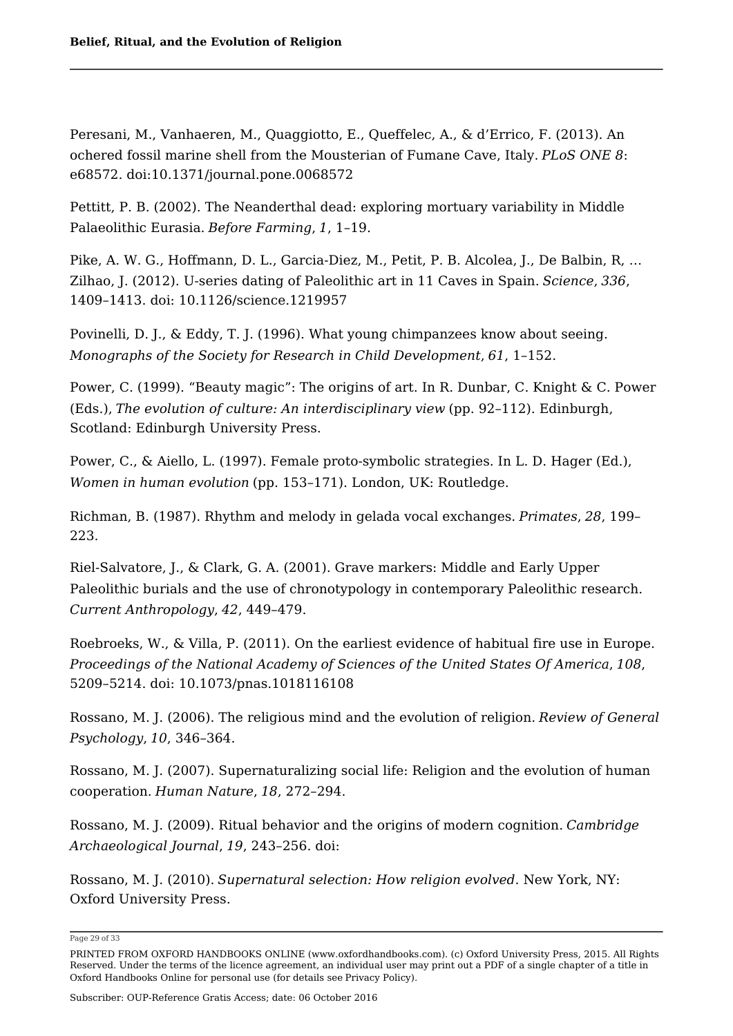Peresani, M., Vanhaeren, M., Quaggiotto, E., Queffelec, A., & d'Errico, F. (2013). An ochered fossil marine shell from the Mousterian of Fumane Cave, Italy. *PLoS ONE 8*: e68572. doi:10.1371/journal.pone.0068572

Pettitt, P. B. (2002). The Neanderthal dead: exploring mortuary variability in Middle Palaeolithic Eurasia. *Before Farming*, *1*, 1–19.

Pike, A. W. G., Hoffmann, D. L., Garcia-Diez, M., Petit, P. B. Alcolea, J., De Balbin, R, … Zilhao, J. (2012). U-series dating of Paleolithic art in 11 Caves in Spain. *Science*, *336*, 1409–1413. doi: 10.1126/science.1219957

Povinelli, D. J., & Eddy, T. J. (1996). What young chimpanzees know about seeing. *Monographs of the Society for Research in Child Development*, *61*, 1–152.

Power, C. (1999). "Beauty magic": The origins of art. In R. Dunbar, C. Knight & C. Power (Eds.), *The evolution of culture: An interdisciplinary view* (pp. 92–112). Edinburgh, Scotland: Edinburgh University Press.

Power, C., & Aiello, L. (1997). Female proto-symbolic strategies. In L. D. Hager (Ed.), *Women in human evolution* (pp. 153–171). London, UK: Routledge.

Richman, B. (1987). Rhythm and melody in gelada vocal exchanges. *Primates*, *28*, 199– 223.

Riel-Salvatore, J., & Clark, G. A. (2001). Grave markers: Middle and Early Upper Paleolithic burials and the use of chronotypology in contemporary Paleolithic research. *Current Anthropology*, *42*, 449–479.

Roebroeks, W., & Villa, P. (2011). On the earliest evidence of habitual fire use in Europe. *Proceedings of the National Academy of Sciences of the United States Of America*, *108*, 5209–5214. doi: 10.1073/pnas.1018116108

Rossano, M. J. (2006). The religious mind and the evolution of religion. *Review of General Psychology*, *10*, 346–364.

Rossano, M. J. (2007). Supernaturalizing social life: Religion and the evolution of human cooperation. *Human Nature*, *18*, 272–294.

Rossano, M. J. (2009). Ritual behavior and the origins of modern cognition. *Cambridge Archaeological Journal*, *19*, 243–256. doi:

Rossano, M. J. (2010). *Supernatural selection: How religion evolved*. New York, NY: Oxford University Press.

Page 29 of 33

Subscriber: OUP-Reference Gratis Access; date: 06 October 2016

PRINTED FROM OXFORD HANDBOOKS ONLINE (www.oxfordhandbooks.com). (c) Oxford University Press, 2015. All Rights Reserved. Under the terms of the licence agreement, an individual user may print out a PDF of a single chapter of a title in Oxford Handbooks Online for personal use (for details see Privacy Policy).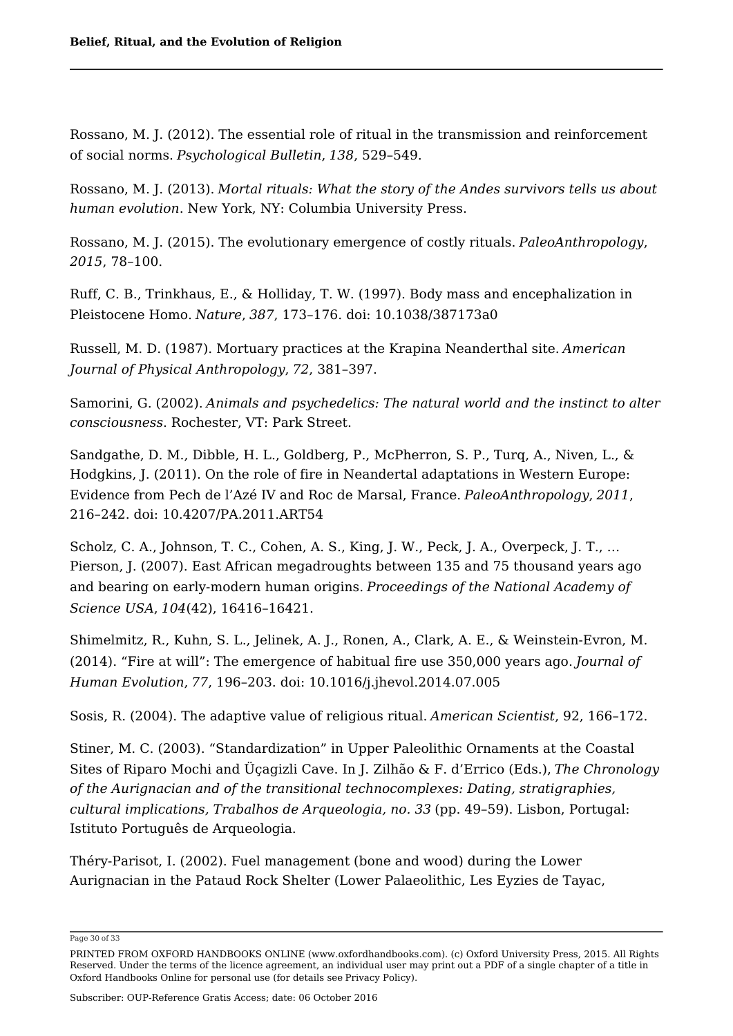Rossano, M. J. (2012). The essential role of ritual in the transmission and reinforcement of social norms. *Psychological Bulletin*, *138*, 529–549.

Rossano, M. J. (2013). *Mortal rituals: What the story of the Andes survivors tells us about human evolution*. New York, NY: Columbia University Press.

Rossano, M. J. (2015). The evolutionary emergence of costly rituals. *PaleoAnthropology*, *2015*, 78–100.

Ruff, C. B., Trinkhaus, E., & Holliday, T. W. (1997). Body mass and encephalization in Pleistocene Homo. *Nature*, *387*, 173–176. doi: 10.1038/387173a0

Russell, M. D. (1987). Mortuary practices at the Krapina Neanderthal site. *American Journal of Physical Anthropology*, *72*, 381–397.

Samorini, G. (2002). *Animals and psychedelics: The natural world and the instinct to alter consciousness*. Rochester, VT: Park Street.

Sandgathe, D. M., Dibble, H. L., Goldberg, P., McPherron, S. P., Turq, A., Niven, L., & Hodgkins, J. (2011). On the role of fire in Neandertal adaptations in Western Europe: Evidence from Pech de l'Azé IV and Roc de Marsal, France. *PaleoAnthropology*, *2011*, 216–242. doi: 10.4207/PA.2011.ART54

Scholz, C. A., Johnson, T. C., Cohen, A. S., King, J. W., Peck, J. A., Overpeck, J. T., … Pierson, J. (2007). East African megadroughts between 135 and 75 thousand years ago and bearing on early-modern human origins. *Proceedings of the National Academy of Science USA*, *104*(42), 16416–16421.

Shimelmitz, R., Kuhn, S. L., Jelinek, A. J., Ronen, A., Clark, A. E., & Weinstein-Evron, M. (2014). "Fire at will": The emergence of habitual fire use 350,000 years ago. *Journal of Human Evolution*, *77*, 196–203. doi: 10.1016/j.jhevol.2014.07.005

Sosis, R. (2004). The adaptive value of religious ritual. *American Scientist*, 92, 166–172.

Stiner, M. C. (2003). "Standardization" in Upper Paleolithic Ornaments at the Coastal Sites of Riparo Mochi and Üçagizli Cave. In J. Zilhão & F. d'Errico (Eds.), *The Chronology of the Aurignacian and of the transitional technocomplexes: Dating, stratigraphies, cultural implications, Trabalhos de Arqueologia, no. 33* (pp. 49–59). Lisbon, Portugal: Istituto Português de Arqueologia.

Théry-Parisot, I. (2002). Fuel management (bone and wood) during the Lower Aurignacian in the Pataud Rock Shelter (Lower Palaeolithic, Les Eyzies de Tayac,

Page 30 of 33

Subscriber: OUP-Reference Gratis Access; date: 06 October 2016

PRINTED FROM OXFORD HANDBOOKS ONLINE (www.oxfordhandbooks.com). (c) Oxford University Press, 2015. All Rights Reserved. Under the terms of the licence agreement, an individual user may print out a PDF of a single chapter of a title in Oxford Handbooks Online for personal use (for details see Privacy Policy).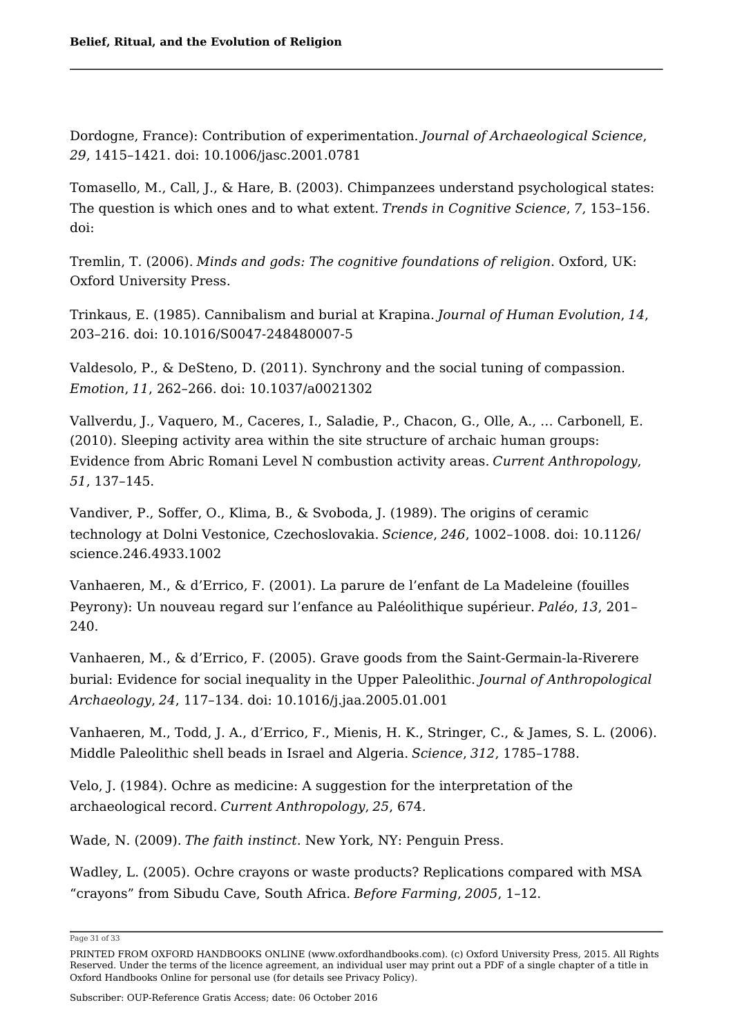Dordogne, France): Contribution of experimentation. *Journal of Archaeological Science*, *29*, 1415–1421. doi: 10.1006/jasc.2001.0781

Tomasello, M., Call, J., & Hare, B. (2003). Chimpanzees understand psychological states: The question is which ones and to what extent. *Trends in Cognitive Science*, *7*, 153–156. doi:

Tremlin, T. (2006). *Minds and gods: The cognitive foundations of religion*. Oxford, UK: Oxford University Press.

Trinkaus, E. (1985). Cannibalism and burial at Krapina. *Journal of Human Evolution*, *14*, 203–216. doi: 10.1016/S0047-248480007-5

Valdesolo, P., & DeSteno, D. (2011). Synchrony and the social tuning of compassion. *Emotion*, *11*, 262–266. doi: 10.1037/a0021302

Vallverdu, J., Vaquero, M., Caceres, I., Saladie, P., Chacon, G., Olle, A., … Carbonell, E. (2010). Sleeping activity area within the site structure of archaic human groups: Evidence from Abric Romani Level N combustion activity areas. *Current Anthropology*, *51*, 137–145.

Vandiver, P., Soffer, O., Klima, B., & Svoboda, J. (1989). The origins of ceramic technology at Dolni Vestonice, Czechoslovakia. *Science*, *246*, 1002–1008. doi: 10.1126/ science.246.4933.1002

Vanhaeren, M., & d'Errico, F. (2001). La parure de l'enfant de La Madeleine (fouilles Peyrony): Un nouveau regard sur l'enfance au Paléolithique supérieur. *Paléo*, *13*, 201– 240.

Vanhaeren, M., & d'Errico, F. (2005). Grave goods from the Saint-Germain-la-Riverere burial: Evidence for social inequality in the Upper Paleolithic. *Journal of Anthropological Archaeology*, *24*, 117–134. doi: 10.1016/j.jaa.2005.01.001

Vanhaeren, M., Todd, J. A., d'Errico, F., Mienis, H. K., Stringer, C., & James, S. L. (2006). Middle Paleolithic shell beads in Israel and Algeria. *Science*, *312*, 1785–1788.

Velo, J. (1984). Ochre as medicine: A suggestion for the interpretation of the archaeological record. *Current Anthropology*, *25*, 674.

Wade, N. (2009). *The faith instinct*. New York, NY: Penguin Press.

Wadley, L. (2005). Ochre crayons or waste products? Replications compared with MSA "crayons" from Sibudu Cave, South Africa. *Before Farming*, *2005*, 1–12.

Page 31 of 33

Subscriber: OUP-Reference Gratis Access; date: 06 October 2016

PRINTED FROM OXFORD HANDBOOKS ONLINE (www.oxfordhandbooks.com). (c) Oxford University Press, 2015. All Rights Reserved. Under the terms of the licence agreement, an individual user may print out a PDF of a single chapter of a title in Oxford Handbooks Online for personal use (for details see Privacy Policy).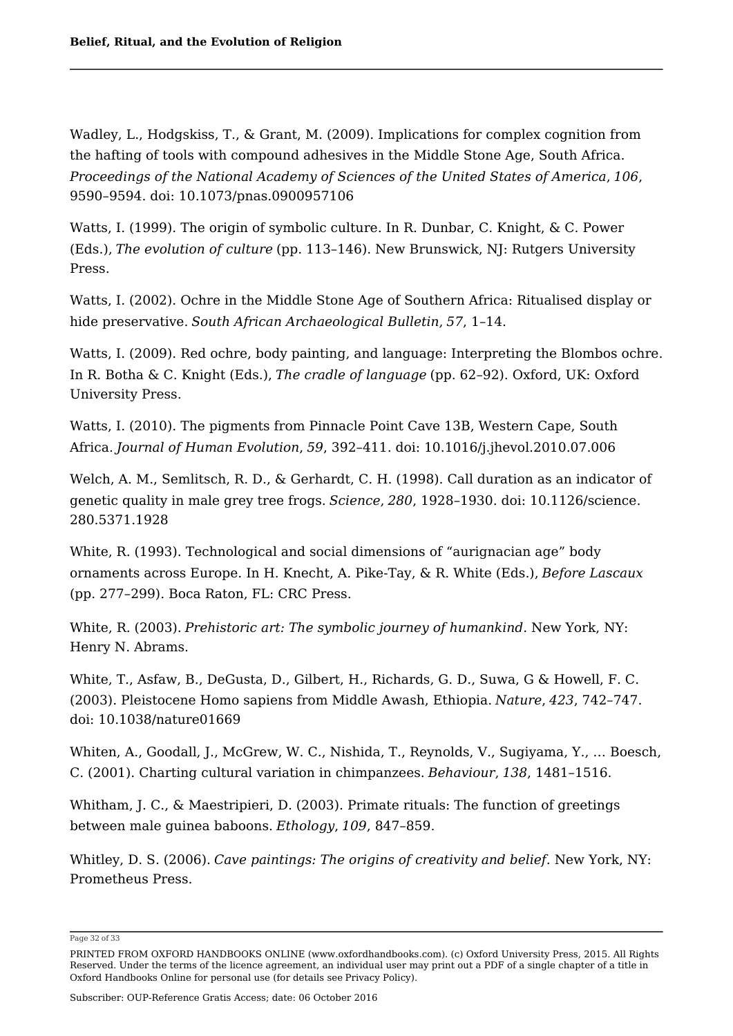Wadley, L., Hodgskiss, T., & Grant, M. (2009). Implications for complex cognition from the hafting of tools with compound adhesives in the Middle Stone Age, South Africa. *Proceedings of the National Academy of Sciences of the United States of America*, *106*, 9590–9594. doi: 10.1073/pnas.0900957106

Watts, I. (1999). The origin of symbolic culture. In R. Dunbar, C. Knight, & C. Power (Eds.), *The evolution of culture* (pp. 113–146). New Brunswick, NJ: Rutgers University Press.

Watts, I. (2002). Ochre in the Middle Stone Age of Southern Africa: Ritualised display or hide preservative. *South African Archaeological Bulletin*, *57*, 1–14.

Watts, I. (2009). Red ochre, body painting, and language: Interpreting the Blombos ochre. In R. Botha & C. Knight (Eds.), *The cradle of language* (pp. 62–92). Oxford, UK: Oxford University Press.

Watts, I. (2010). The pigments from Pinnacle Point Cave 13B, Western Cape, South Africa. *Journal of Human Evolution*, *59*, 392–411. doi: 10.1016/j.jhevol.2010.07.006

Welch, A. M., Semlitsch, R. D., & Gerhardt, C. H. (1998). Call duration as an indicator of genetic quality in male grey tree frogs. *Science*, *280*, 1928–1930. doi: 10.1126/science. 280.5371.1928

White, R. (1993). Technological and social dimensions of "aurignacian age" body ornaments across Europe. In H. Knecht, A. Pike-Tay, & R. White (Eds.), *Before Lascaux* (pp. 277–299). Boca Raton, FL: CRC Press.

White, R. (2003). *Prehistoric art: The symbolic journey of humankind*. New York, NY: Henry N. Abrams.

White, T., Asfaw, B., DeGusta, D., Gilbert, H., Richards, G. D., Suwa, G & Howell, F. C. (2003). Pleistocene Homo sapiens from Middle Awash, Ethiopia. *Nature*, *423*, 742–747. doi: 10.1038/nature01669

Whiten, A., Goodall, J., McGrew, W. C., Nishida, T., Reynolds, V., Sugiyama, Y., … Boesch, C. (2001). Charting cultural variation in chimpanzees. *Behaviour*, *138*, 1481–1516.

Whitham, J. C., & Maestripieri, D. (2003). Primate rituals: The function of greetings between male guinea baboons. *Ethology*, *109*, 847–859.

Whitley, D. S. (2006). *Cave paintings: The origins of creativity and belief*. New York, NY: Prometheus Press.

Page 32 of 33

PRINTED FROM OXFORD HANDBOOKS ONLINE (www.oxfordhandbooks.com). (c) Oxford University Press, 2015. All Rights Reserved. Under the terms of the licence agreement, an individual user may print out a PDF of a single chapter of a title in Oxford Handbooks Online for personal use (for details see Privacy Policy).